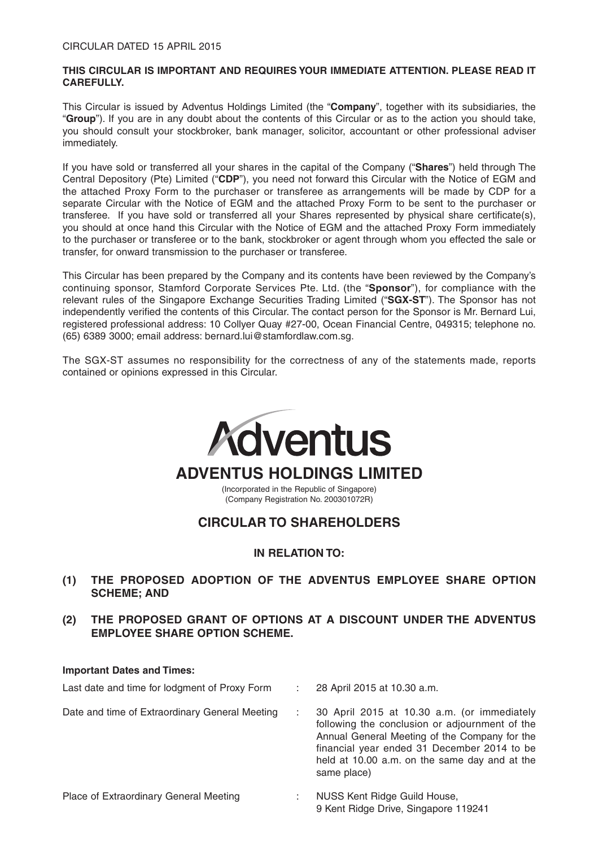## **THIS CIRCULAR IS IMPORTANT AND REQUIRES YOUR IMMEDIATE ATTENTION. PLEASE READ IT CAREFULLY.**

This Circular is issued by Adventus Holdings Limited (the "**Company**", together with its subsidiaries, the "**Group**"). If you are in any doubt about the contents of this Circular or as to the action you should take, you should consult your stockbroker, bank manager, solicitor, accountant or other professional adviser immediately.

If you have sold or transferred all your shares in the capital of the Company ("**Shares**") held through The Central Depository (Pte) Limited ("**CDP**"), you need not forward this Circular with the Notice of EGM and the attached Proxy Form to the purchaser or transferee as arrangements will be made by CDP for a separate Circular with the Notice of EGM and the attached Proxy Form to be sent to the purchaser or transferee. If you have sold or transferred all your Shares represented by physical share certificate(s), you should at once hand this Circular with the Notice of EGM and the attached Proxy Form immediately to the purchaser or transferee or to the bank, stockbroker or agent through whom you effected the sale or transfer, for onward transmission to the purchaser or transferee.

This Circular has been prepared by the Company and its contents have been reviewed by the Company's continuing sponsor, Stamford Corporate Services Pte. Ltd. (the "**Sponsor**"), for compliance with the relevant rules of the Singapore Exchange Securities Trading Limited ("**SGX-ST**"). The Sponsor has not independently verified the contents of this Circular. The contact person for the Sponsor is Mr. Bernard Lui, registered professional address: 10 Collyer Quay #27-00, Ocean Financial Centre, 049315; telephone no. (65) 6389 3000; email address: bernard.lui@stamfordlaw.com.sg.

The SGX-ST assumes no responsibility for the correctness of any of the statements made, reports contained or opinions expressed in this Circular.



## **IN RELATION TO:**

- **(1) THE PROPOSED ADOPTION OF THE ADVENTUS EMPLOYEE SHARE OPTION SCHEME; AND**
- **(2) THE PROPOSED GRANT OF OPTIONS AT A DISCOUNT UNDER THE ADVENTUS EMPLOYEE SHARE OPTION SCHEME.**

#### **Important Dates and Times:**

| Last date and time for lodgment of Proxy Form  | 28 April 2015 at 10.30 a.m.                                                                                                                                                                                                                                   |
|------------------------------------------------|---------------------------------------------------------------------------------------------------------------------------------------------------------------------------------------------------------------------------------------------------------------|
| Date and time of Extraordinary General Meeting | 30 April 2015 at 10.30 a.m. (or immediately<br>following the conclusion or adjournment of the<br>Annual General Meeting of the Company for the<br>financial year ended 31 December 2014 to be<br>held at 10.00 a.m. on the same day and at the<br>same place) |
| Place of Extraordinary General Meeting         | NUSS Kent Ridge Guild House,                                                                                                                                                                                                                                  |

9 Kent Ridge Drive, Singapore 119241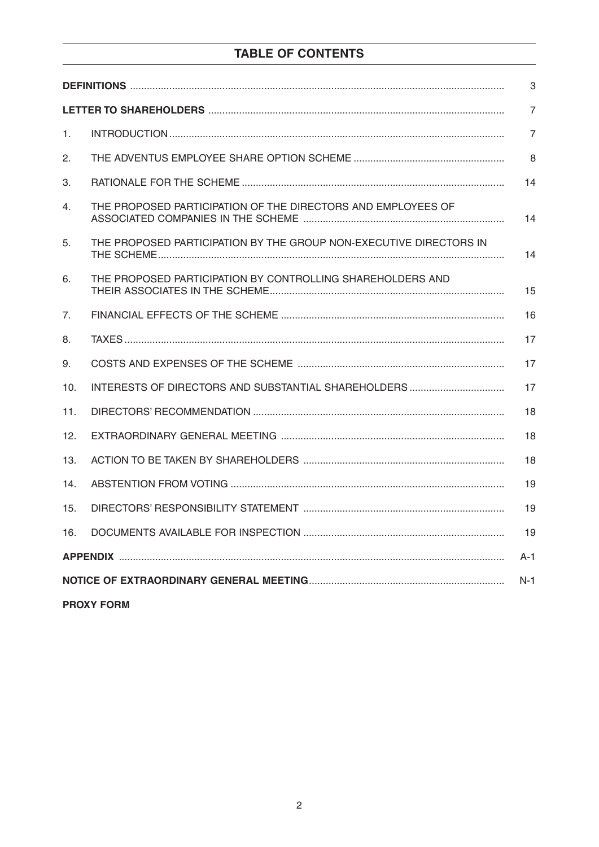# TABLE OF CONTENTS

| 3     |                                                                    |                |  |
|-------|--------------------------------------------------------------------|----------------|--|
|       |                                                                    | $\overline{7}$ |  |
| 1.    |                                                                    | $\overline{7}$ |  |
| 2.    |                                                                    | 8              |  |
| 3.    |                                                                    | 14             |  |
| 4.    | THE PROPOSED PARTICIPATION OF THE DIRECTORS AND EMPLOYEES OF       | 14             |  |
| 5.    | THE PROPOSED PARTICIPATION BY THE GROUP NON-EXECUTIVE DIRECTORS IN | 14             |  |
| 6.    | THE PROPOSED PARTICIPATION BY CONTROLLING SHAREHOLDERS AND         | 15             |  |
| 7.    |                                                                    | 16             |  |
| 8.    |                                                                    | 17             |  |
| 9.    |                                                                    | 17             |  |
| 10.   |                                                                    | 17             |  |
| 11.   |                                                                    | 18             |  |
| 12.   |                                                                    | 18             |  |
| 13.   |                                                                    | 18             |  |
| 14.   |                                                                    | 19             |  |
| 15.   |                                                                    | 19             |  |
| 16.   |                                                                    | 19             |  |
|       |                                                                    | $A-1$          |  |
| $N-1$ |                                                                    |                |  |
|       |                                                                    |                |  |

**PROXY FORM**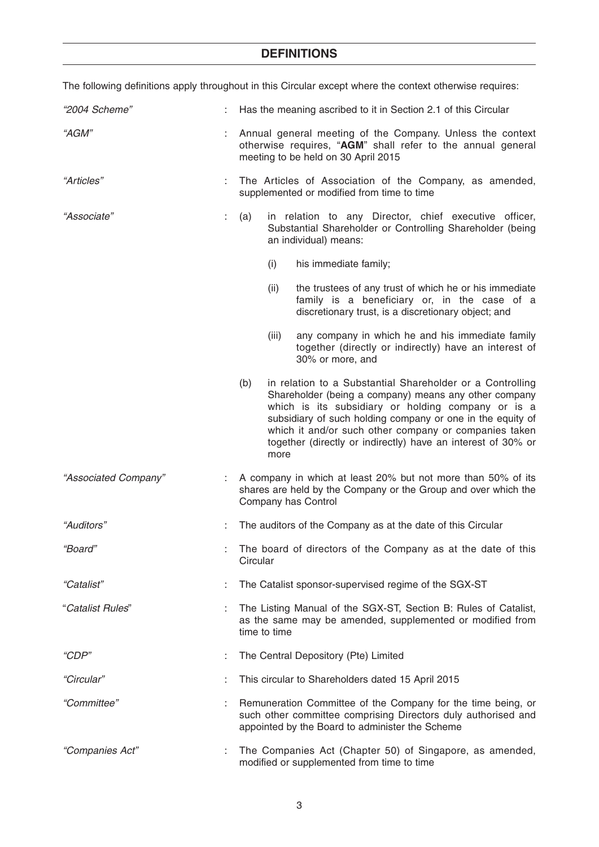| The following definitions apply throughout in this Circular except where the context otherwise requires: |    |                                                                                                                                                                                                                                                                                                                                                                                |  |  |
|----------------------------------------------------------------------------------------------------------|----|--------------------------------------------------------------------------------------------------------------------------------------------------------------------------------------------------------------------------------------------------------------------------------------------------------------------------------------------------------------------------------|--|--|
| "2004 Scheme"                                                                                            |    | Has the meaning ascribed to it in Section 2.1 of this Circular                                                                                                                                                                                                                                                                                                                 |  |  |
| "AGM"                                                                                                    |    | Annual general meeting of the Company. Unless the context<br>otherwise requires, "AGM" shall refer to the annual general<br>meeting to be held on 30 April 2015                                                                                                                                                                                                                |  |  |
| "Articles"                                                                                               |    | The Articles of Association of the Company, as amended,<br>supplemented or modified from time to time                                                                                                                                                                                                                                                                          |  |  |
| "Associate"                                                                                              | t. | in relation to any Director, chief executive officer,<br>(a)<br>Substantial Shareholder or Controlling Shareholder (being<br>an individual) means:                                                                                                                                                                                                                             |  |  |
|                                                                                                          |    | (i)<br>his immediate family;                                                                                                                                                                                                                                                                                                                                                   |  |  |
|                                                                                                          |    | the trustees of any trust of which he or his immediate<br>(ii)<br>family is a beneficiary or, in the case of a<br>discretionary trust, is a discretionary object; and                                                                                                                                                                                                          |  |  |
|                                                                                                          |    | any company in which he and his immediate family<br>(iii)<br>together (directly or indirectly) have an interest of<br>30% or more, and                                                                                                                                                                                                                                         |  |  |
|                                                                                                          |    | in relation to a Substantial Shareholder or a Controlling<br>(b)<br>Shareholder (being a company) means any other company<br>which is its subsidiary or holding company or is a<br>subsidiary of such holding company or one in the equity of<br>which it and/or such other company or companies taken<br>together (directly or indirectly) have an interest of 30% or<br>more |  |  |
| "Associated Company"                                                                                     |    | A company in which at least 20% but not more than 50% of its<br>shares are held by the Company or the Group and over which the<br>Company has Control                                                                                                                                                                                                                          |  |  |
| "Auditors"                                                                                               |    | The auditors of the Company as at the date of this Circular                                                                                                                                                                                                                                                                                                                    |  |  |
| "Board"                                                                                                  |    | The board of directors of the Company as at the date of this<br>Circular                                                                                                                                                                                                                                                                                                       |  |  |
| "Catalist"                                                                                               |    | The Catalist sponsor-supervised regime of the SGX-ST                                                                                                                                                                                                                                                                                                                           |  |  |
| "Catalist Rules"                                                                                         |    | The Listing Manual of the SGX-ST, Section B: Rules of Catalist,<br>as the same may be amended, supplemented or modified from<br>time to time                                                                                                                                                                                                                                   |  |  |
| "CDP"                                                                                                    |    | The Central Depository (Pte) Limited                                                                                                                                                                                                                                                                                                                                           |  |  |
| "Circular"                                                                                               |    | This circular to Shareholders dated 15 April 2015                                                                                                                                                                                                                                                                                                                              |  |  |
| "Committee"                                                                                              |    | Remuneration Committee of the Company for the time being, or<br>such other committee comprising Directors duly authorised and<br>appointed by the Board to administer the Scheme                                                                                                                                                                                               |  |  |
| "Companies Act"                                                                                          | ÷  | The Companies Act (Chapter 50) of Singapore, as amended,<br>modified or supplemented from time to time                                                                                                                                                                                                                                                                         |  |  |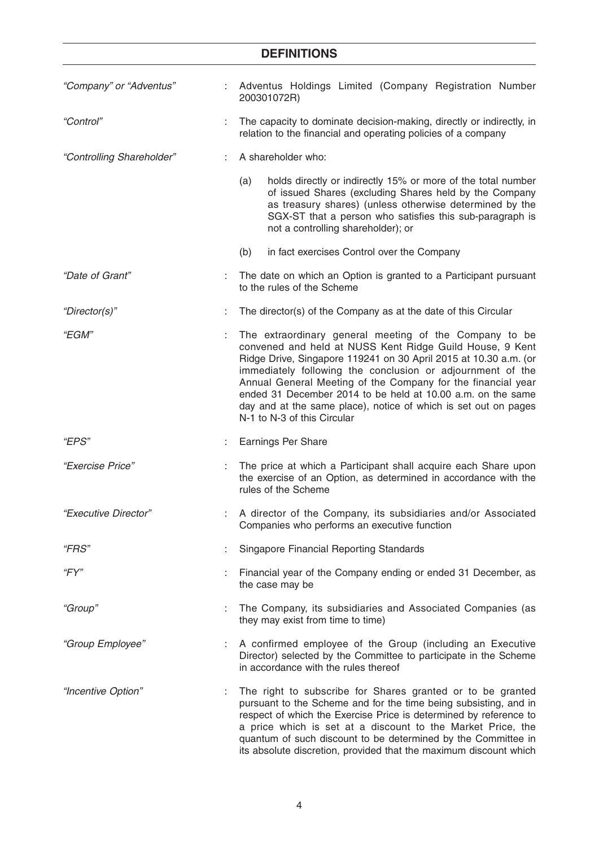| "Company" or "Adventus"   |    | Adventus Holdings Limited (Company Registration Number<br>200301072R)                                                                                                                                                                                                                                                                                                                                                                                                                 |
|---------------------------|----|---------------------------------------------------------------------------------------------------------------------------------------------------------------------------------------------------------------------------------------------------------------------------------------------------------------------------------------------------------------------------------------------------------------------------------------------------------------------------------------|
| "Control"                 |    | The capacity to dominate decision-making, directly or indirectly, in<br>relation to the financial and operating policies of a company                                                                                                                                                                                                                                                                                                                                                 |
| "Controlling Shareholder" |    | A shareholder who:                                                                                                                                                                                                                                                                                                                                                                                                                                                                    |
|                           |    | holds directly or indirectly 15% or more of the total number<br>(a)<br>of issued Shares (excluding Shares held by the Company<br>as treasury shares) (unless otherwise determined by the<br>SGX-ST that a person who satisfies this sub-paragraph is<br>not a controlling shareholder); or                                                                                                                                                                                            |
|                           |    | in fact exercises Control over the Company<br>(b)                                                                                                                                                                                                                                                                                                                                                                                                                                     |
| "Date of Grant"           | ÷  | The date on which an Option is granted to a Participant pursuant<br>to the rules of the Scheme                                                                                                                                                                                                                                                                                                                                                                                        |
| "Director(s)"             | t. | The director(s) of the Company as at the date of this Circular                                                                                                                                                                                                                                                                                                                                                                                                                        |
| "EGM"                     |    | The extraordinary general meeting of the Company to be<br>convened and held at NUSS Kent Ridge Guild House, 9 Kent<br>Ridge Drive, Singapore 119241 on 30 April 2015 at 10.30 a.m. (or<br>immediately following the conclusion or adjournment of the<br>Annual General Meeting of the Company for the financial year<br>ended 31 December 2014 to be held at 10.00 a.m. on the same<br>day and at the same place), notice of which is set out on pages<br>N-1 to N-3 of this Circular |
| <i>"EPS"</i>              |    | <b>Earnings Per Share</b>                                                                                                                                                                                                                                                                                                                                                                                                                                                             |
| "Exercise Price"          |    | The price at which a Participant shall acquire each Share upon<br>the exercise of an Option, as determined in accordance with the<br>rules of the Scheme                                                                                                                                                                                                                                                                                                                              |
| "Executive Director"      |    | A director of the Company, its subsidiaries and/or Associated<br>Companies who performs an executive function                                                                                                                                                                                                                                                                                                                                                                         |
| "FRS"                     |    | <b>Singapore Financial Reporting Standards</b>                                                                                                                                                                                                                                                                                                                                                                                                                                        |
| "FY"                      |    | Financial year of the Company ending or ended 31 December, as<br>the case may be                                                                                                                                                                                                                                                                                                                                                                                                      |
| "Group"                   |    | The Company, its subsidiaries and Associated Companies (as<br>they may exist from time to time)                                                                                                                                                                                                                                                                                                                                                                                       |
| "Group Employee"          | ÷  | A confirmed employee of the Group (including an Executive<br>Director) selected by the Committee to participate in the Scheme<br>in accordance with the rules thereof                                                                                                                                                                                                                                                                                                                 |
| "Incentive Option"        | ÷  | The right to subscribe for Shares granted or to be granted<br>pursuant to the Scheme and for the time being subsisting, and in<br>respect of which the Exercise Price is determined by reference to<br>a price which is set at a discount to the Market Price, the<br>quantum of such discount to be determined by the Committee in<br>its absolute discretion, provided that the maximum discount which                                                                              |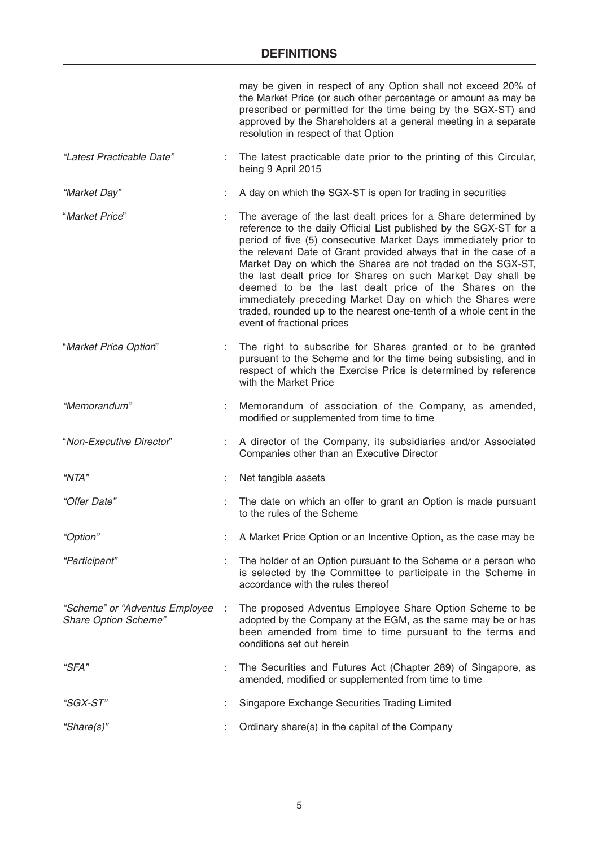|                                                        | may be given in respect of any Option shall not exceed 20% of<br>the Market Price (or such other percentage or amount as may be<br>prescribed or permitted for the time being by the SGX-ST) and<br>approved by the Shareholders at a general meeting in a separate<br>resolution in respect of that Option                                                                                                                                                                                                                                                                                                                           |
|--------------------------------------------------------|---------------------------------------------------------------------------------------------------------------------------------------------------------------------------------------------------------------------------------------------------------------------------------------------------------------------------------------------------------------------------------------------------------------------------------------------------------------------------------------------------------------------------------------------------------------------------------------------------------------------------------------|
| "Latest Practicable Date"                              | The latest practicable date prior to the printing of this Circular,<br>being 9 April 2015                                                                                                                                                                                                                                                                                                                                                                                                                                                                                                                                             |
| "Market Day"                                           | A day on which the SGX-ST is open for trading in securities                                                                                                                                                                                                                                                                                                                                                                                                                                                                                                                                                                           |
| "Market Price"                                         | The average of the last dealt prices for a Share determined by<br>reference to the daily Official List published by the SGX-ST for a<br>period of five (5) consecutive Market Days immediately prior to<br>the relevant Date of Grant provided always that in the case of a<br>Market Day on which the Shares are not traded on the SGX-ST,<br>the last dealt price for Shares on such Market Day shall be<br>deemed to be the last dealt price of the Shares on the<br>immediately preceding Market Day on which the Shares were<br>traded, rounded up to the nearest one-tenth of a whole cent in the<br>event of fractional prices |
| "Market Price Option"                                  | The right to subscribe for Shares granted or to be granted<br>pursuant to the Scheme and for the time being subsisting, and in<br>respect of which the Exercise Price is determined by reference<br>with the Market Price                                                                                                                                                                                                                                                                                                                                                                                                             |
| "Memorandum"                                           | Memorandum of association of the Company, as amended,<br>modified or supplemented from time to time                                                                                                                                                                                                                                                                                                                                                                                                                                                                                                                                   |
| "Non-Executive Director"                               | A director of the Company, its subsidiaries and/or Associated<br>Companies other than an Executive Director                                                                                                                                                                                                                                                                                                                                                                                                                                                                                                                           |
| "NTA"                                                  | Net tangible assets                                                                                                                                                                                                                                                                                                                                                                                                                                                                                                                                                                                                                   |
| "Offer Date"                                           | The date on which an offer to grant an Option is made pursuant<br>to the rules of the Scheme                                                                                                                                                                                                                                                                                                                                                                                                                                                                                                                                          |
| "Option"                                               | A Market Price Option or an Incentive Option, as the case may be                                                                                                                                                                                                                                                                                                                                                                                                                                                                                                                                                                      |
| "Participant"                                          | The holder of an Option pursuant to the Scheme or a person who<br>is selected by the Committee to participate in the Scheme in<br>accordance with the rules thereof                                                                                                                                                                                                                                                                                                                                                                                                                                                                   |
| "Scheme" or "Adventus Employee<br>Share Option Scheme" | The proposed Adventus Employee Share Option Scheme to be<br>adopted by the Company at the EGM, as the same may be or has<br>been amended from time to time pursuant to the terms and<br>conditions set out herein                                                                                                                                                                                                                                                                                                                                                                                                                     |
| "SFA"                                                  | The Securities and Futures Act (Chapter 289) of Singapore, as<br>amended, modified or supplemented from time to time                                                                                                                                                                                                                                                                                                                                                                                                                                                                                                                  |
| "SGX-ST"                                               | Singapore Exchange Securities Trading Limited                                                                                                                                                                                                                                                                                                                                                                                                                                                                                                                                                                                         |
| "Share(s)"                                             | Ordinary share(s) in the capital of the Company                                                                                                                                                                                                                                                                                                                                                                                                                                                                                                                                                                                       |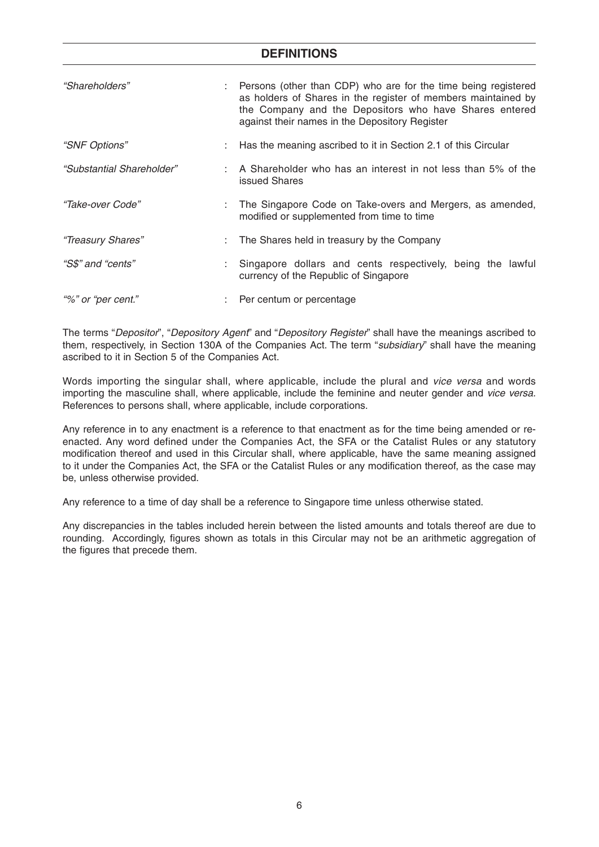| "Shareholders"            | Persons (other than CDP) who are for the time being registered<br>as holders of Shares in the register of members maintained by<br>the Company and the Depositors who have Shares entered<br>against their names in the Depository Register |  |
|---------------------------|---------------------------------------------------------------------------------------------------------------------------------------------------------------------------------------------------------------------------------------------|--|
| "SNF Options"             | Has the meaning ascribed to it in Section 2.1 of this Circular                                                                                                                                                                              |  |
| "Substantial Shareholder" | : A Shareholder who has an interest in not less than 5% of the<br>issued Shares                                                                                                                                                             |  |
| "Take-over Code"          | : The Singapore Code on Take-overs and Mergers, as amended,<br>modified or supplemented from time to time                                                                                                                                   |  |
| "Treasury Shares"         | : The Shares held in treasury by the Company                                                                                                                                                                                                |  |
| "S\$" and "cents"         | Singapore dollars and cents respectively, being the lawful<br>currency of the Republic of Singapore                                                                                                                                         |  |
| "%" or "per cent."        | Per centum or percentage                                                                                                                                                                                                                    |  |

The terms "Depositor", "Depository Agent" and "Depository Register" shall have the meanings ascribed to them, respectively, in Section 130A of the Companies Act. The term "subsidiary" shall have the meaning ascribed to it in Section 5 of the Companies Act.

Words importing the singular shall, where applicable, include the plural and vice versa and words importing the masculine shall, where applicable, include the feminine and neuter gender and vice versa. References to persons shall, where applicable, include corporations.

Any reference in to any enactment is a reference to that enactment as for the time being amended or reenacted. Any word defined under the Companies Act, the SFA or the Catalist Rules or any statutory modification thereof and used in this Circular shall, where applicable, have the same meaning assigned to it under the Companies Act, the SFA or the Catalist Rules or any modification thereof, as the case may be, unless otherwise provided.

Any reference to a time of day shall be a reference to Singapore time unless otherwise stated.

Any discrepancies in the tables included herein between the listed amounts and totals thereof are due to rounding. Accordingly, figures shown as totals in this Circular may not be an arithmetic aggregation of the figures that precede them.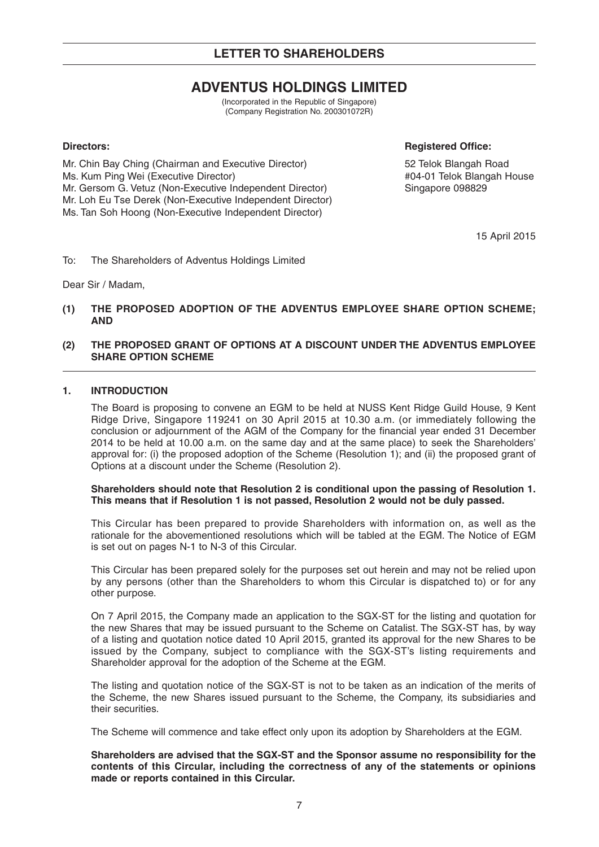# **ADVENTUS HOLDINGS LIMITED**

(Incorporated in the Republic of Singapore) (Company Registration No. 200301072R)

## **Directors:** Registered Office:

Mr. Chin Bay Ching (Chairman and Executive Director) 52 Telok Blangah Road<br>Ms. Kum Ping Wei (Executive Director) 61 Minutes 64 Ms. Kum Ping Wei (Executive Director) Ms. Kum Ping Wei (Executive Director)<br>Mr. Gersom G. Vetuz (Non-Executive Independent Director) Singapore 098829 Mr. Gersom G. Vetuz (Non-Executive Independent Director) Mr. Loh Eu Tse Derek (Non-Executive Independent Director) Ms. Tan Soh Hoong (Non-Executive Independent Director)

15 April 2015

To: The Shareholders of Adventus Holdings Limited

Dear Sir / Madam,

## **(1) THE PROPOSED ADOPTION OF THE ADVENTUS EMPLOYEE SHARE OPTION SCHEME; AND**

## **(2) THE PROPOSED GRANT OF OPTIONS AT A DISCOUNT UNDER THE ADVENTUS EMPLOYEE SHARE OPTION SCHEME**

## **1. INTRODUCTION**

The Board is proposing to convene an EGM to be held at NUSS Kent Ridge Guild House, 9 Kent Ridge Drive, Singapore 119241 on 30 April 2015 at 10.30 a.m. (or immediately following the conclusion or adjournment of the AGM of the Company for the financial year ended 31 December 2014 to be held at 10.00 a.m. on the same day and at the same place) to seek the Shareholders' approval for: (i) the proposed adoption of the Scheme (Resolution 1); and (ii) the proposed grant of Options at a discount under the Scheme (Resolution 2).

#### **Shareholders should note that Resolution 2 is conditional upon the passing of Resolution 1. This means that if Resolution 1 is not passed, Resolution 2 would not be duly passed.**

This Circular has been prepared to provide Shareholders with information on, as well as the rationale for the abovementioned resolutions which will be tabled at the EGM. The Notice of EGM is set out on pages N-1 to N-3 of this Circular.

This Circular has been prepared solely for the purposes set out herein and may not be relied upon by any persons (other than the Shareholders to whom this Circular is dispatched to) or for any other purpose.

On 7 April 2015, the Company made an application to the SGX-ST for the listing and quotation for the new Shares that may be issued pursuant to the Scheme on Catalist. The SGX-ST has, by way of a listing and quotation notice dated 10 April 2015, granted its approval for the new Shares to be issued by the Company, subject to compliance with the SGX-ST's listing requirements and Shareholder approval for the adoption of the Scheme at the EGM.

The listing and quotation notice of the SGX-ST is not to be taken as an indication of the merits of the Scheme, the new Shares issued pursuant to the Scheme, the Company, its subsidiaries and their securities.

The Scheme will commence and take effect only upon its adoption by Shareholders at the EGM.

**Shareholders are advised that the SGX-ST and the Sponsor assume no responsibility for the contents of this Circular, including the correctness of any of the statements or opinions made or reports contained in this Circular.**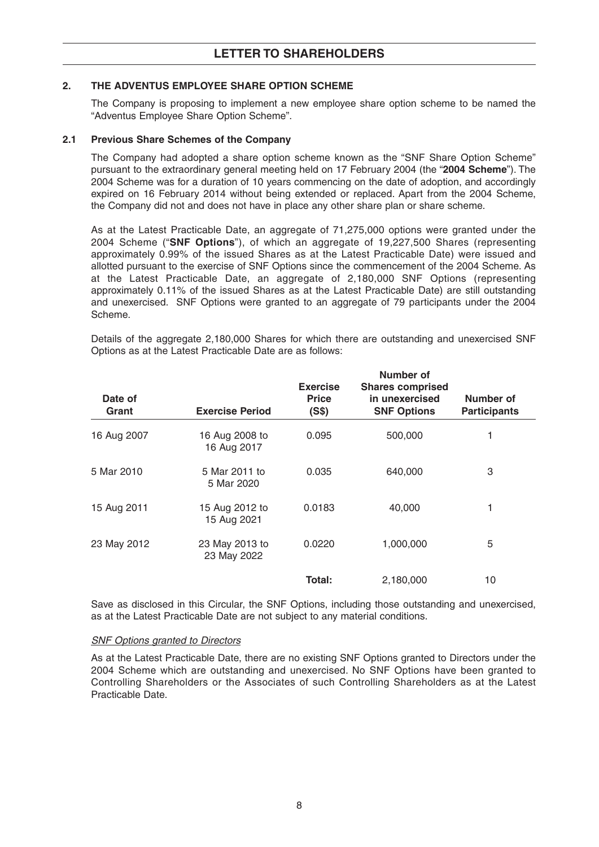## **2. THE ADVENTUS EMPLOYEE SHARE OPTION SCHEME**

The Company is proposing to implement a new employee share option scheme to be named the "Adventus Employee Share Option Scheme".

## **2.1 Previous Share Schemes of the Company**

The Company had adopted a share option scheme known as the "SNF Share Option Scheme" pursuant to the extraordinary general meeting held on 17 February 2004 (the "**2004 Scheme**"). The 2004 Scheme was for a duration of 10 years commencing on the date of adoption, and accordingly expired on 16 February 2014 without being extended or replaced. Apart from the 2004 Scheme, the Company did not and does not have in place any other share plan or share scheme.

As at the Latest Practicable Date, an aggregate of 71,275,000 options were granted under the 2004 Scheme ("**SNF Options**"), of which an aggregate of 19,227,500 Shares (representing approximately 0.99% of the issued Shares as at the Latest Practicable Date) were issued and allotted pursuant to the exercise of SNF Options since the commencement of the 2004 Scheme. As at the Latest Practicable Date, an aggregate of 2,180,000 SNF Options (representing approximately 0.11% of the issued Shares as at the Latest Practicable Date) are still outstanding and unexercised. SNF Options were granted to an aggregate of 79 participants under the 2004 Scheme.

Details of the aggregate 2,180,000 Shares for which there are outstanding and unexercised SNF Options as at the Latest Practicable Date are as follows:

| Date of<br>Grant | <b>Exercise Period</b>        | <b>Exercise</b><br><b>Price</b><br>(S\$) | Number of<br><b>Shares comprised</b><br>in unexercised<br><b>SNF Options</b> | Number of<br><b>Participants</b> |
|------------------|-------------------------------|------------------------------------------|------------------------------------------------------------------------------|----------------------------------|
| 16 Aug 2007      | 16 Aug 2008 to<br>16 Aug 2017 | 0.095                                    | 500,000                                                                      | 1                                |
| 5 Mar 2010       | 5 Mar 2011 to<br>5 Mar 2020   | 0.035                                    | 640,000                                                                      | 3                                |
| 15 Aug 2011      | 15 Aug 2012 to<br>15 Aug 2021 | 0.0183                                   | 40,000                                                                       | 1                                |
| 23 May 2012      | 23 May 2013 to<br>23 May 2022 | 0.0220                                   | 1,000,000                                                                    | 5                                |
|                  |                               | Total:                                   | 2,180,000                                                                    | 10                               |

Save as disclosed in this Circular, the SNF Options, including those outstanding and unexercised, as at the Latest Practicable Date are not subject to any material conditions.

#### SNF Options granted to Directors

As at the Latest Practicable Date, there are no existing SNF Options granted to Directors under the 2004 Scheme which are outstanding and unexercised. No SNF Options have been granted to Controlling Shareholders or the Associates of such Controlling Shareholders as at the Latest Practicable Date.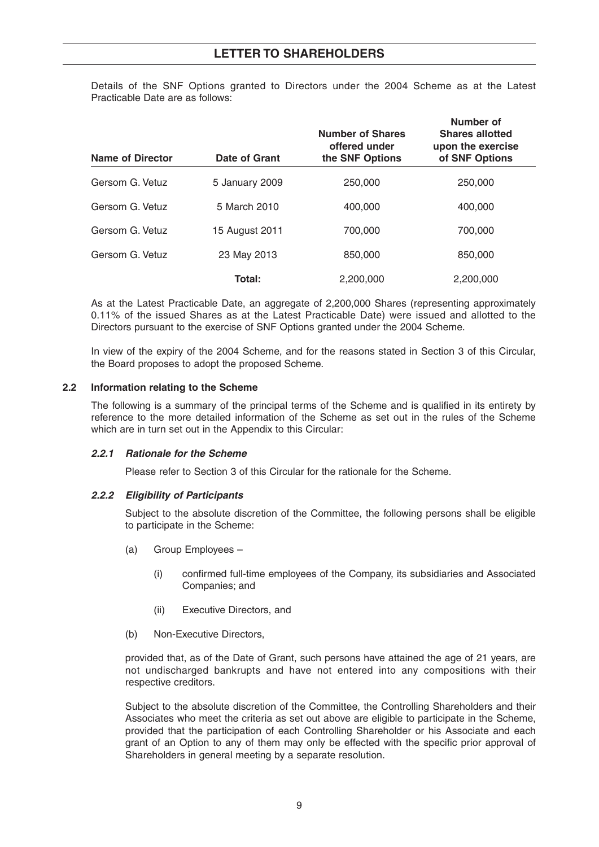Details of the SNF Options granted to Directors under the 2004 Scheme as at the Latest Practicable Date are as follows:

| <b>Name of Director</b> | Date of Grant  | <b>Number of Shares</b><br>offered under<br>the SNF Options | Number of<br><b>Shares allotted</b><br>upon the exercise<br>of SNF Options |
|-------------------------|----------------|-------------------------------------------------------------|----------------------------------------------------------------------------|
| Gersom G. Vetuz         | 5 January 2009 | 250,000                                                     | 250,000                                                                    |
| Gersom G. Vetuz         | 5 March 2010   | 400,000                                                     | 400,000                                                                    |
| Gersom G. Vetuz         | 15 August 2011 | 700.000                                                     | 700.000                                                                    |
| Gersom G. Vetuz         | 23 May 2013    | 850,000                                                     | 850,000                                                                    |
|                         | Total:         | 2.200.000                                                   | 2.200.000                                                                  |

As at the Latest Practicable Date, an aggregate of 2,200,000 Shares (representing approximately 0.11% of the issued Shares as at the Latest Practicable Date) were issued and allotted to the Directors pursuant to the exercise of SNF Options granted under the 2004 Scheme.

In view of the expiry of the 2004 Scheme, and for the reasons stated in Section 3 of this Circular, the Board proposes to adopt the proposed Scheme.

#### **2.2 Information relating to the Scheme**

The following is a summary of the principal terms of the Scheme and is qualified in its entirety by reference to the more detailed information of the Scheme as set out in the rules of the Scheme which are in turn set out in the Appendix to this Circular:

#### **2.2.1 Rationale for the Scheme**

Please refer to Section 3 of this Circular for the rationale for the Scheme.

## **2.2.2 Eligibility of Participants**

Subject to the absolute discretion of the Committee, the following persons shall be eligible to participate in the Scheme:

- (a) Group Employees
	- (i) confirmed full-time employees of the Company, its subsidiaries and Associated Companies; and
	- (ii) Executive Directors, and
- (b) Non-Executive Directors,

provided that, as of the Date of Grant, such persons have attained the age of 21 years, are not undischarged bankrupts and have not entered into any compositions with their respective creditors.

Subject to the absolute discretion of the Committee, the Controlling Shareholders and their Associates who meet the criteria as set out above are eligible to participate in the Scheme, provided that the participation of each Controlling Shareholder or his Associate and each grant of an Option to any of them may only be effected with the specific prior approval of Shareholders in general meeting by a separate resolution.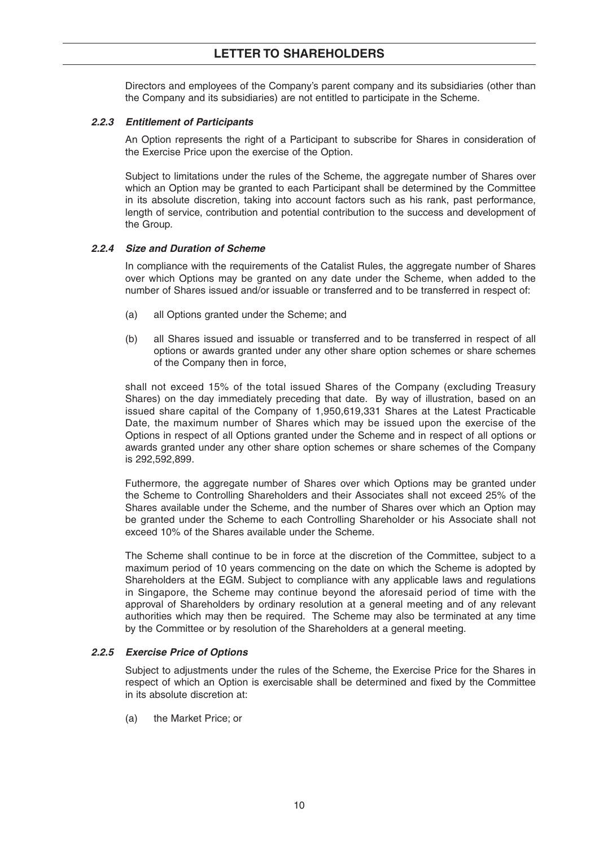## **LETTER TO SHAREHOLDERS**

Directors and employees of the Company's parent company and its subsidiaries (other than the Company and its subsidiaries) are not entitled to participate in the Scheme.

#### **2.2.3 Entitlement of Participants**

An Option represents the right of a Participant to subscribe for Shares in consideration of the Exercise Price upon the exercise of the Option.

Subject to limitations under the rules of the Scheme, the aggregate number of Shares over which an Option may be granted to each Participant shall be determined by the Committee in its absolute discretion, taking into account factors such as his rank, past performance, length of service, contribution and potential contribution to the success and development of the Group.

## **2.2.4 Size and Duration of Scheme**

In compliance with the requirements of the Catalist Rules, the aggregate number of Shares over which Options may be granted on any date under the Scheme, when added to the number of Shares issued and/or issuable or transferred and to be transferred in respect of:

- (a) all Options granted under the Scheme; and
- (b) all Shares issued and issuable or transferred and to be transferred in respect of all options or awards granted under any other share option schemes or share schemes of the Company then in force,

shall not exceed 15% of the total issued Shares of the Company (excluding Treasury Shares) on the day immediately preceding that date. By way of illustration, based on an issued share capital of the Company of 1,950,619,331 Shares at the Latest Practicable Date, the maximum number of Shares which may be issued upon the exercise of the Options in respect of all Options granted under the Scheme and in respect of all options or awards granted under any other share option schemes or share schemes of the Company is 292,592,899.

Futhermore, the aggregate number of Shares over which Options may be granted under the Scheme to Controlling Shareholders and their Associates shall not exceed 25% of the Shares available under the Scheme, and the number of Shares over which an Option may be granted under the Scheme to each Controlling Shareholder or his Associate shall not exceed 10% of the Shares available under the Scheme.

The Scheme shall continue to be in force at the discretion of the Committee, subject to a maximum period of 10 years commencing on the date on which the Scheme is adopted by Shareholders at the EGM. Subject to compliance with any applicable laws and regulations in Singapore, the Scheme may continue beyond the aforesaid period of time with the approval of Shareholders by ordinary resolution at a general meeting and of any relevant authorities which may then be required. The Scheme may also be terminated at any time by the Committee or by resolution of the Shareholders at a general meeting.

#### **2.2.5 Exercise Price of Options**

Subject to adjustments under the rules of the Scheme, the Exercise Price for the Shares in respect of which an Option is exercisable shall be determined and fixed by the Committee in its absolute discretion at:

(a) the Market Price; or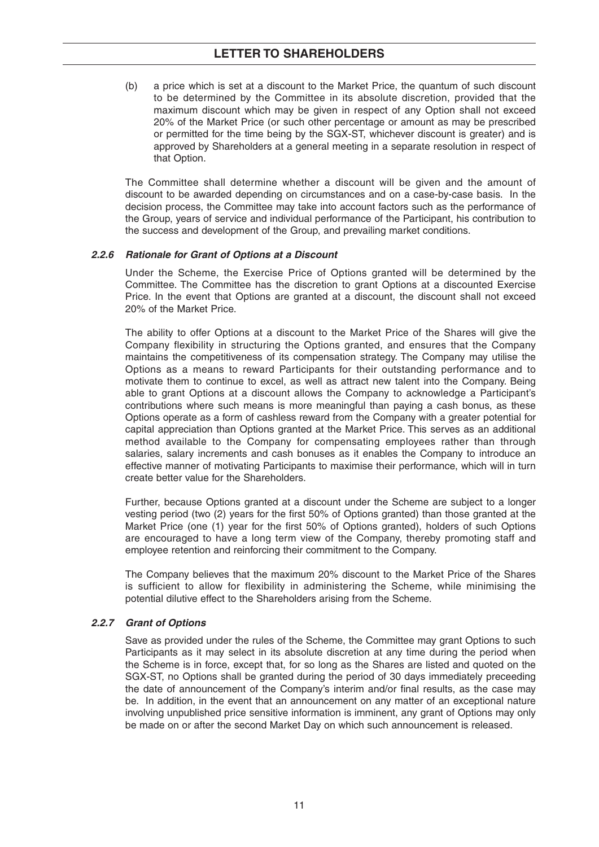## **LETTER TO SHAREHOLDERS**

(b) a price which is set at a discount to the Market Price, the quantum of such discount to be determined by the Committee in its absolute discretion, provided that the maximum discount which may be given in respect of any Option shall not exceed 20% of the Market Price (or such other percentage or amount as may be prescribed or permitted for the time being by the SGX-ST, whichever discount is greater) and is approved by Shareholders at a general meeting in a separate resolution in respect of that Option.

The Committee shall determine whether a discount will be given and the amount of discount to be awarded depending on circumstances and on a case-by-case basis. In the decision process, the Committee may take into account factors such as the performance of the Group, years of service and individual performance of the Participant, his contribution to the success and development of the Group, and prevailing market conditions.

## **2.2.6 Rationale for Grant of Options at a Discount**

Under the Scheme, the Exercise Price of Options granted will be determined by the Committee. The Committee has the discretion to grant Options at a discounted Exercise Price. In the event that Options are granted at a discount, the discount shall not exceed 20% of the Market Price.

The ability to offer Options at a discount to the Market Price of the Shares will give the Company flexibility in structuring the Options granted, and ensures that the Company maintains the competitiveness of its compensation strategy. The Company may utilise the Options as a means to reward Participants for their outstanding performance and to motivate them to continue to excel, as well as attract new talent into the Company. Being able to grant Options at a discount allows the Company to acknowledge a Participant's contributions where such means is more meaningful than paying a cash bonus, as these Options operate as a form of cashless reward from the Company with a greater potential for capital appreciation than Options granted at the Market Price. This serves as an additional method available to the Company for compensating employees rather than through salaries, salary increments and cash bonuses as it enables the Company to introduce an effective manner of motivating Participants to maximise their performance, which will in turn create better value for the Shareholders.

Further, because Options granted at a discount under the Scheme are subject to a longer vesting period (two (2) years for the first 50% of Options granted) than those granted at the Market Price (one (1) year for the first 50% of Options granted), holders of such Options are encouraged to have a long term view of the Company, thereby promoting staff and employee retention and reinforcing their commitment to the Company.

The Company believes that the maximum 20% discount to the Market Price of the Shares is sufficient to allow for flexibility in administering the Scheme, while minimising the potential dilutive effect to the Shareholders arising from the Scheme.

## **2.2.7 Grant of Options**

Save as provided under the rules of the Scheme, the Committee may grant Options to such Participants as it may select in its absolute discretion at any time during the period when the Scheme is in force, except that, for so long as the Shares are listed and quoted on the SGX-ST, no Options shall be granted during the period of 30 days immediately preceeding the date of announcement of the Company's interim and/or final results, as the case may be. In addition, in the event that an announcement on any matter of an exceptional nature involving unpublished price sensitive information is imminent, any grant of Options may only be made on or after the second Market Day on which such announcement is released.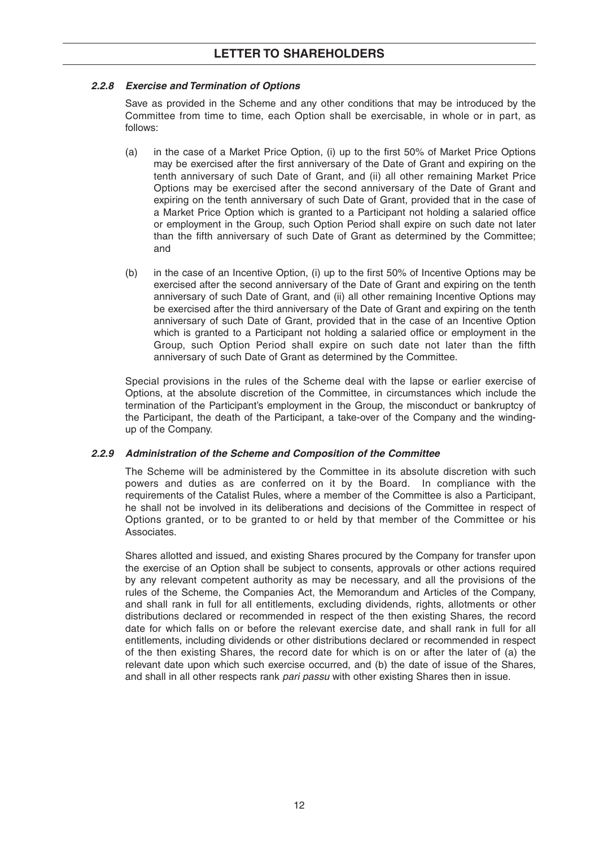## **2.2.8 Exercise and Termination of Options**

Save as provided in the Scheme and any other conditions that may be introduced by the Committee from time to time, each Option shall be exercisable, in whole or in part, as follows:

- (a) in the case of a Market Price Option, (i) up to the first 50% of Market Price Options may be exercised after the first anniversary of the Date of Grant and expiring on the tenth anniversary of such Date of Grant, and (ii) all other remaining Market Price Options may be exercised after the second anniversary of the Date of Grant and expiring on the tenth anniversary of such Date of Grant, provided that in the case of a Market Price Option which is granted to a Participant not holding a salaried office or employment in the Group, such Option Period shall expire on such date not later than the fifth anniversary of such Date of Grant as determined by the Committee; and
- (b) in the case of an Incentive Option, (i) up to the first 50% of Incentive Options may be exercised after the second anniversary of the Date of Grant and expiring on the tenth anniversary of such Date of Grant, and (ii) all other remaining Incentive Options may be exercised after the third anniversary of the Date of Grant and expiring on the tenth anniversary of such Date of Grant, provided that in the case of an Incentive Option which is granted to a Participant not holding a salaried office or employment in the Group, such Option Period shall expire on such date not later than the fifth anniversary of such Date of Grant as determined by the Committee.

Special provisions in the rules of the Scheme deal with the lapse or earlier exercise of Options, at the absolute discretion of the Committee, in circumstances which include the termination of the Participant's employment in the Group, the misconduct or bankruptcy of the Participant, the death of the Participant, a take-over of the Company and the windingup of the Company.

## **2.2.9 Administration of the Scheme and Composition of the Committee**

The Scheme will be administered by the Committee in its absolute discretion with such powers and duties as are conferred on it by the Board. In compliance with the requirements of the Catalist Rules, where a member of the Committee is also a Participant, he shall not be involved in its deliberations and decisions of the Committee in respect of Options granted, or to be granted to or held by that member of the Committee or his Associates.

Shares allotted and issued, and existing Shares procured by the Company for transfer upon the exercise of an Option shall be subject to consents, approvals or other actions required by any relevant competent authority as may be necessary, and all the provisions of the rules of the Scheme, the Companies Act, the Memorandum and Articles of the Company, and shall rank in full for all entitlements, excluding dividends, rights, allotments or other distributions declared or recommended in respect of the then existing Shares, the record date for which falls on or before the relevant exercise date, and shall rank in full for all entitlements, including dividends or other distributions declared or recommended in respect of the then existing Shares, the record date for which is on or after the later of (a) the relevant date upon which such exercise occurred, and (b) the date of issue of the Shares, and shall in all other respects rank pari passu with other existing Shares then in issue.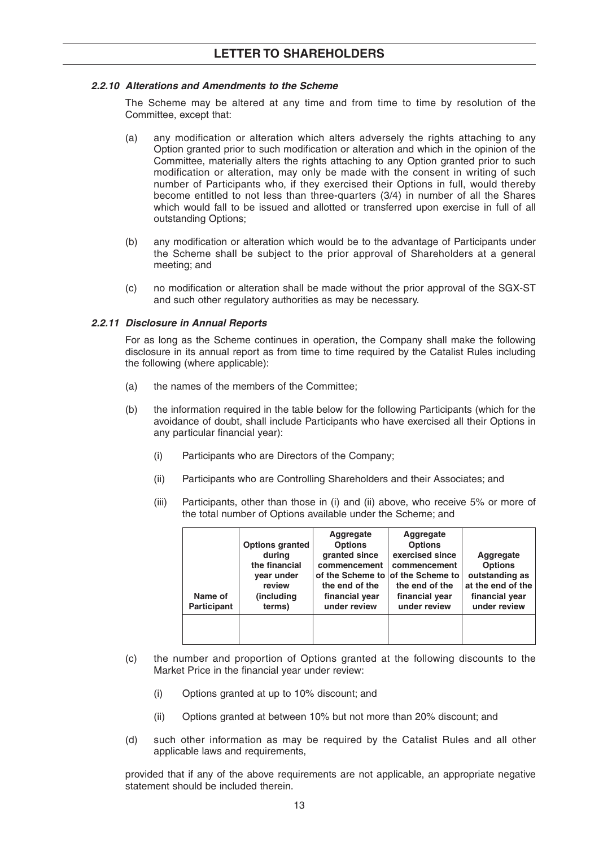## **2.2.10 Alterations and Amendments to the Scheme**

The Scheme may be altered at any time and from time to time by resolution of the Committee, except that:

- (a) any modification or alteration which alters adversely the rights attaching to any Option granted prior to such modification or alteration and which in the opinion of the Committee, materially alters the rights attaching to any Option granted prior to such modification or alteration, may only be made with the consent in writing of such number of Participants who, if they exercised their Options in full, would thereby become entitled to not less than three-quarters (3/4) in number of all the Shares which would fall to be issued and allotted or transferred upon exercise in full of all outstanding Options;
- (b) any modification or alteration which would be to the advantage of Participants under the Scheme shall be subject to the prior approval of Shareholders at a general meeting; and
- (c) no modification or alteration shall be made without the prior approval of the SGX-ST and such other regulatory authorities as may be necessary.

## **2.2.11 Disclosure in Annual Reports**

For as long as the Scheme continues in operation, the Company shall make the following disclosure in its annual report as from time to time required by the Catalist Rules including the following (where applicable):

- (a) the names of the members of the Committee;
- (b) the information required in the table below for the following Participants (which for the avoidance of doubt, shall include Participants who have exercised all their Options in any particular financial year):
	- (i) Participants who are Directors of the Company;
	- (ii) Participants who are Controlling Shareholders and their Associates; and
	- (iii) Participants, other than those in (i) and (ii) above, who receive 5% or more of the total number of Options available under the Scheme; and

| Name of<br><b>Participant</b> | <b>Options granted</b><br>during<br>the financial<br>year under<br>review<br>(including<br>terms) | Aggregate<br><b>Options</b><br>granted since<br>commencement<br>the end of the<br>financial year<br>under review | Aggregate<br><b>Options</b><br>exercised since<br>commencement<br>of the Scheme to of the Scheme to<br>the end of the<br>financial year<br>under review | Aggregate<br><b>Options</b><br>outstanding as<br>at the end of the<br>financial year<br>under review |
|-------------------------------|---------------------------------------------------------------------------------------------------|------------------------------------------------------------------------------------------------------------------|---------------------------------------------------------------------------------------------------------------------------------------------------------|------------------------------------------------------------------------------------------------------|
|                               |                                                                                                   |                                                                                                                  |                                                                                                                                                         |                                                                                                      |

- (c) the number and proportion of Options granted at the following discounts to the Market Price in the financial year under review:
	- (i) Options granted at up to 10% discount; and
	- (ii) Options granted at between 10% but not more than 20% discount; and
- (d) such other information as may be required by the Catalist Rules and all other applicable laws and requirements,

provided that if any of the above requirements are not applicable, an appropriate negative statement should be included therein.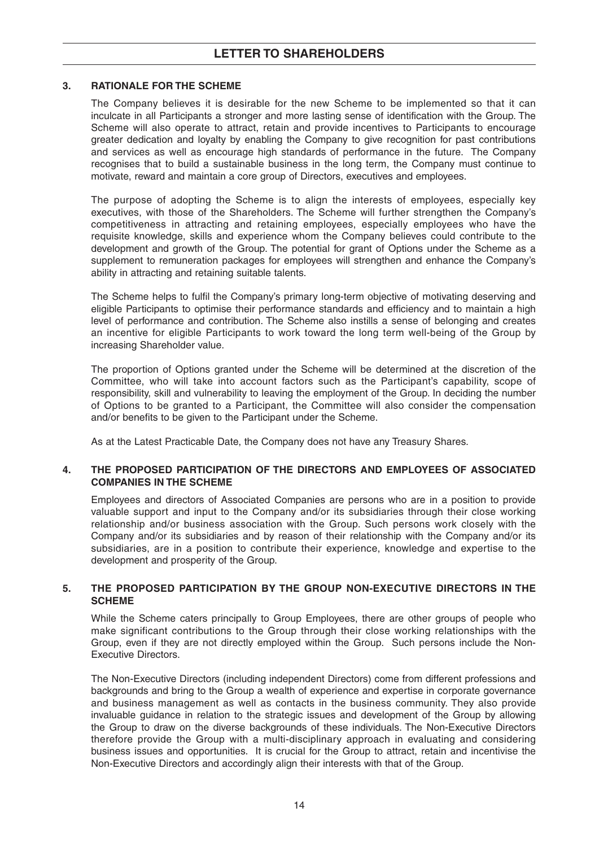## **3. RATIONALE FOR THE SCHEME**

The Company believes it is desirable for the new Scheme to be implemented so that it can inculcate in all Participants a stronger and more lasting sense of identification with the Group. The Scheme will also operate to attract, retain and provide incentives to Participants to encourage greater dedication and loyalty by enabling the Company to give recognition for past contributions and services as well as encourage high standards of performance in the future. The Company recognises that to build a sustainable business in the long term, the Company must continue to motivate, reward and maintain a core group of Directors, executives and employees.

The purpose of adopting the Scheme is to align the interests of employees, especially key executives, with those of the Shareholders. The Scheme will further strengthen the Company's competitiveness in attracting and retaining employees, especially employees who have the requisite knowledge, skills and experience whom the Company believes could contribute to the development and growth of the Group. The potential for grant of Options under the Scheme as a supplement to remuneration packages for employees will strengthen and enhance the Company's ability in attracting and retaining suitable talents.

The Scheme helps to fulfil the Company's primary long-term objective of motivating deserving and eligible Participants to optimise their performance standards and efficiency and to maintain a high level of performance and contribution. The Scheme also instills a sense of belonging and creates an incentive for eligible Participants to work toward the long term well-being of the Group by increasing Shareholder value.

The proportion of Options granted under the Scheme will be determined at the discretion of the Committee, who will take into account factors such as the Participant's capability, scope of responsibility, skill and vulnerability to leaving the employment of the Group. In deciding the number of Options to be granted to a Participant, the Committee will also consider the compensation and/or benefits to be given to the Participant under the Scheme.

As at the Latest Practicable Date, the Company does not have any Treasury Shares.

## **4. THE PROPOSED PARTICIPATION OF THE DIRECTORS AND EMPLOYEES OF ASSOCIATED COMPANIES IN THE SCHEME**

Employees and directors of Associated Companies are persons who are in a position to provide valuable support and input to the Company and/or its subsidiaries through their close working relationship and/or business association with the Group. Such persons work closely with the Company and/or its subsidiaries and by reason of their relationship with the Company and/or its subsidiaries, are in a position to contribute their experience, knowledge and expertise to the development and prosperity of the Group.

## **5. THE PROPOSED PARTICIPATION BY THE GROUP NON-EXECUTIVE DIRECTORS IN THE SCHEME**

While the Scheme caters principally to Group Employees, there are other groups of people who make significant contributions to the Group through their close working relationships with the Group, even if they are not directly employed within the Group. Such persons include the Non-Executive Directors.

The Non-Executive Directors (including independent Directors) come from different professions and backgrounds and bring to the Group a wealth of experience and expertise in corporate governance and business management as well as contacts in the business community. They also provide invaluable guidance in relation to the strategic issues and development of the Group by allowing the Group to draw on the diverse backgrounds of these individuals. The Non-Executive Directors therefore provide the Group with a multi-disciplinary approach in evaluating and considering business issues and opportunities. It is crucial for the Group to attract, retain and incentivise the Non-Executive Directors and accordingly align their interests with that of the Group.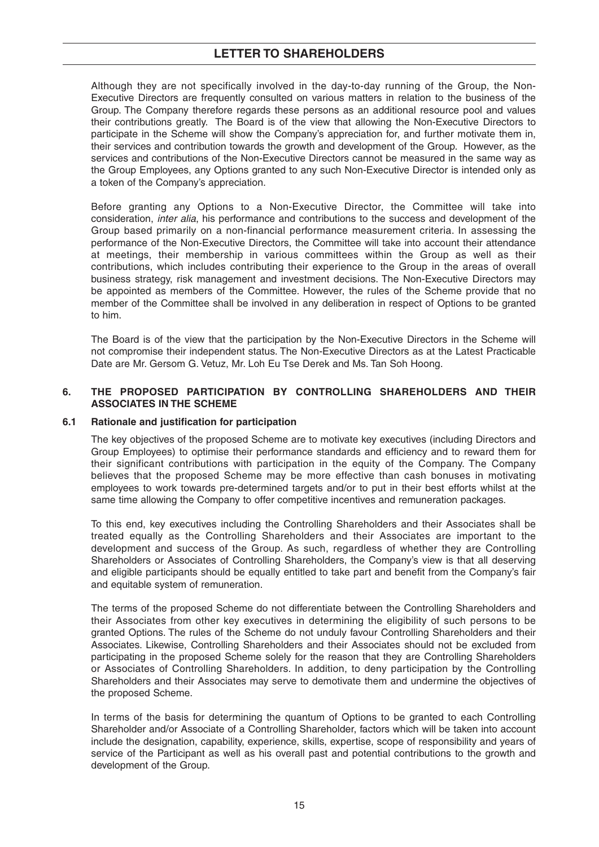## **LETTER TO SHAREHOLDERS**

Although they are not specifically involved in the day-to-day running of the Group, the Non-Executive Directors are frequently consulted on various matters in relation to the business of the Group. The Company therefore regards these persons as an additional resource pool and values their contributions greatly. The Board is of the view that allowing the Non-Executive Directors to participate in the Scheme will show the Company's appreciation for, and further motivate them in, their services and contribution towards the growth and development of the Group. However, as the services and contributions of the Non-Executive Directors cannot be measured in the same way as the Group Employees, any Options granted to any such Non-Executive Director is intended only as a token of the Company's appreciation.

Before granting any Options to a Non-Executive Director, the Committee will take into consideration, inter alia, his performance and contributions to the success and development of the Group based primarily on a non-financial performance measurement criteria. In assessing the performance of the Non-Executive Directors, the Committee will take into account their attendance at meetings, their membership in various committees within the Group as well as their contributions, which includes contributing their experience to the Group in the areas of overall business strategy, risk management and investment decisions. The Non-Executive Directors may be appointed as members of the Committee. However, the rules of the Scheme provide that no member of the Committee shall be involved in any deliberation in respect of Options to be granted to him.

The Board is of the view that the participation by the Non-Executive Directors in the Scheme will not compromise their independent status. The Non-Executive Directors as at the Latest Practicable Date are Mr. Gersom G. Vetuz, Mr. Loh Eu Tse Derek and Ms. Tan Soh Hoong.

## **6. THE PROPOSED PARTICIPATION BY CONTROLLING SHAREHOLDERS AND THEIR ASSOCIATES IN THE SCHEME**

#### **6.1 Rationale and justification for participation**

The key objectives of the proposed Scheme are to motivate key executives (including Directors and Group Employees) to optimise their performance standards and efficiency and to reward them for their significant contributions with participation in the equity of the Company. The Company believes that the proposed Scheme may be more effective than cash bonuses in motivating employees to work towards pre-determined targets and/or to put in their best efforts whilst at the same time allowing the Company to offer competitive incentives and remuneration packages.

To this end, key executives including the Controlling Shareholders and their Associates shall be treated equally as the Controlling Shareholders and their Associates are important to the development and success of the Group. As such, regardless of whether they are Controlling Shareholders or Associates of Controlling Shareholders, the Company's view is that all deserving and eligible participants should be equally entitled to take part and benefit from the Company's fair and equitable system of remuneration.

The terms of the proposed Scheme do not differentiate between the Controlling Shareholders and their Associates from other key executives in determining the eligibility of such persons to be granted Options. The rules of the Scheme do not unduly favour Controlling Shareholders and their Associates. Likewise, Controlling Shareholders and their Associates should not be excluded from participating in the proposed Scheme solely for the reason that they are Controlling Shareholders or Associates of Controlling Shareholders. In addition, to deny participation by the Controlling Shareholders and their Associates may serve to demotivate them and undermine the objectives of the proposed Scheme.

In terms of the basis for determining the quantum of Options to be granted to each Controlling Shareholder and/or Associate of a Controlling Shareholder, factors which will be taken into account include the designation, capability, experience, skills, expertise, scope of responsibility and years of service of the Participant as well as his overall past and potential contributions to the growth and development of the Group.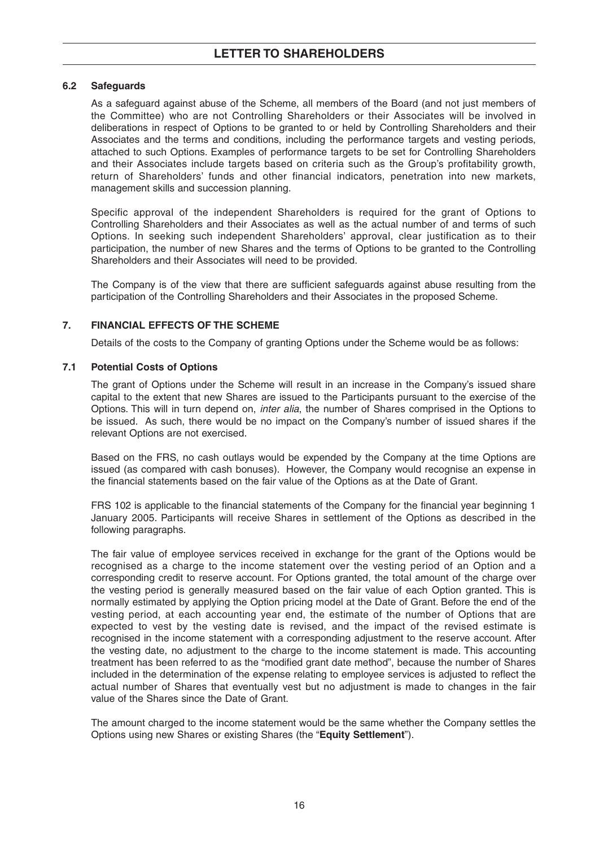## **6.2 Safeguards**

As a safeguard against abuse of the Scheme, all members of the Board (and not just members of the Committee) who are not Controlling Shareholders or their Associates will be involved in deliberations in respect of Options to be granted to or held by Controlling Shareholders and their Associates and the terms and conditions, including the performance targets and vesting periods, attached to such Options. Examples of performance targets to be set for Controlling Shareholders and their Associates include targets based on criteria such as the Group's profitability growth, return of Shareholders' funds and other financial indicators, penetration into new markets, management skills and succession planning.

Specific approval of the independent Shareholders is required for the grant of Options to Controlling Shareholders and their Associates as well as the actual number of and terms of such Options. In seeking such independent Shareholders' approval, clear justification as to their participation, the number of new Shares and the terms of Options to be granted to the Controlling Shareholders and their Associates will need to be provided.

The Company is of the view that there are sufficient safeguards against abuse resulting from the participation of the Controlling Shareholders and their Associates in the proposed Scheme.

## **7. FINANCIAL EFFECTS OF THE SCHEME**

Details of the costs to the Company of granting Options under the Scheme would be as follows:

#### **7.1 Potential Costs of Options**

The grant of Options under the Scheme will result in an increase in the Company's issued share capital to the extent that new Shares are issued to the Participants pursuant to the exercise of the Options. This will in turn depend on, inter alia, the number of Shares comprised in the Options to be issued. As such, there would be no impact on the Company's number of issued shares if the relevant Options are not exercised.

Based on the FRS, no cash outlays would be expended by the Company at the time Options are issued (as compared with cash bonuses). However, the Company would recognise an expense in the financial statements based on the fair value of the Options as at the Date of Grant.

FRS 102 is applicable to the financial statements of the Company for the financial year beginning 1 January 2005. Participants will receive Shares in settlement of the Options as described in the following paragraphs.

The fair value of employee services received in exchange for the grant of the Options would be recognised as a charge to the income statement over the vesting period of an Option and a corresponding credit to reserve account. For Options granted, the total amount of the charge over the vesting period is generally measured based on the fair value of each Option granted. This is normally estimated by applying the Option pricing model at the Date of Grant. Before the end of the vesting period, at each accounting year end, the estimate of the number of Options that are expected to vest by the vesting date is revised, and the impact of the revised estimate is recognised in the income statement with a corresponding adjustment to the reserve account. After the vesting date, no adjustment to the charge to the income statement is made. This accounting treatment has been referred to as the "modified grant date method", because the number of Shares included in the determination of the expense relating to employee services is adjusted to reflect the actual number of Shares that eventually vest but no adjustment is made to changes in the fair value of the Shares since the Date of Grant.

The amount charged to the income statement would be the same whether the Company settles the Options using new Shares or existing Shares (the "**Equity Settlement**").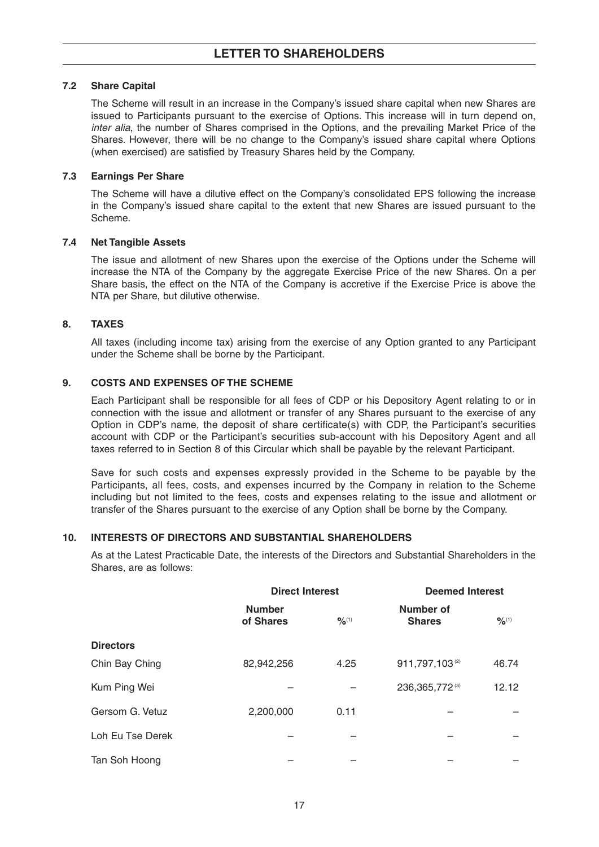## **7.2 Share Capital**

The Scheme will result in an increase in the Company's issued share capital when new Shares are issued to Participants pursuant to the exercise of Options. This increase will in turn depend on, inter alia, the number of Shares comprised in the Options, and the prevailing Market Price of the Shares. However, there will be no change to the Company's issued share capital where Options (when exercised) are satisfied by Treasury Shares held by the Company.

## **7.3 Earnings Per Share**

The Scheme will have a dilutive effect on the Company's consolidated EPS following the increase in the Company's issued share capital to the extent that new Shares are issued pursuant to the Scheme.

## **7.4 Net Tangible Assets**

The issue and allotment of new Shares upon the exercise of the Options under the Scheme will increase the NTA of the Company by the aggregate Exercise Price of the new Shares. On a per Share basis, the effect on the NTA of the Company is accretive if the Exercise Price is above the NTA per Share, but dilutive otherwise.

## **8. TAXES**

All taxes (including income tax) arising from the exercise of any Option granted to any Participant under the Scheme shall be borne by the Participant.

## **9. COSTS AND EXPENSES OF THE SCHEME**

Each Participant shall be responsible for all fees of CDP or his Depository Agent relating to or in connection with the issue and allotment or transfer of any Shares pursuant to the exercise of any Option in CDP's name, the deposit of share certificate(s) with CDP, the Participant's securities account with CDP or the Participant's securities sub-account with his Depository Agent and all taxes referred to in Section 8 of this Circular which shall be payable by the relevant Participant.

Save for such costs and expenses expressly provided in the Scheme to be payable by the Participants, all fees, costs, and expenses incurred by the Company in relation to the Scheme including but not limited to the fees, costs and expenses relating to the issue and allotment or transfer of the Shares pursuant to the exercise of any Option shall be borne by the Company.

## **10. INTERESTS OF DIRECTORS AND SUBSTANTIAL SHAREHOLDERS**

As at the Latest Practicable Date, the interests of the Directors and Substantial Shareholders in the Shares, are as follows:

|                  | <b>Direct Interest</b>     |                              | <b>Deemed Interest</b>     |                              |  |
|------------------|----------------------------|------------------------------|----------------------------|------------------------------|--|
|                  | <b>Number</b><br>of Shares | $\frac{9}{6}$ <sup>(1)</sup> | Number of<br><b>Shares</b> | $\frac{9}{6}$ <sup>(1)</sup> |  |
| <b>Directors</b> |                            |                              |                            |                              |  |
| Chin Bay Ching   | 82,942,256                 | 4.25                         | 911,797,103(2)             | 46.74                        |  |
| Kum Ping Wei     |                            |                              | 236, 365, 772 (3)          | 12.12                        |  |
| Gersom G. Vetuz  | 2,200,000                  | 0.11                         |                            |                              |  |
| Loh Eu Tse Derek |                            |                              |                            |                              |  |
| Tan Soh Hoong    |                            |                              |                            |                              |  |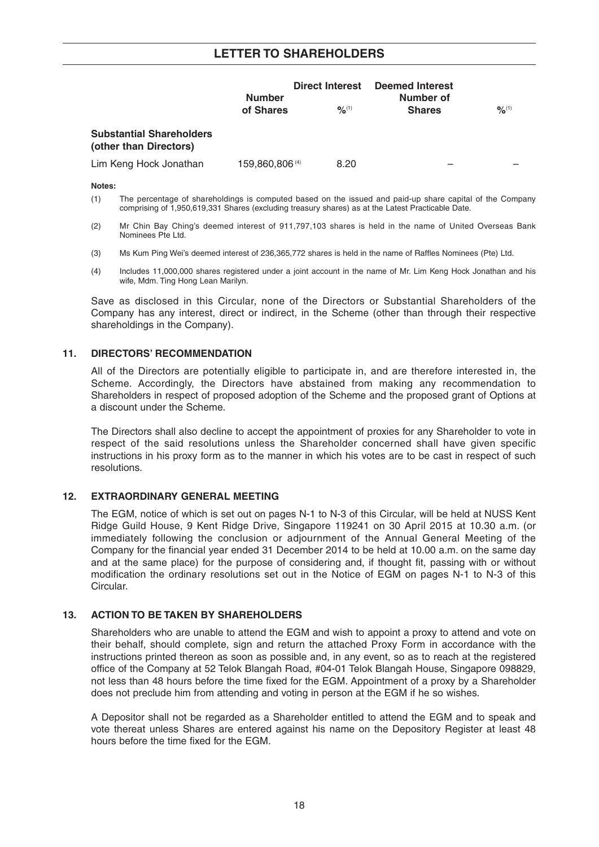## **LETTER TO SHAREHOLDERS**

|                                                           | <b>Number</b><br>of Shares | <b>Direct Interest</b><br>$9/6^{(1)}$ | <b>Deemed Interest</b><br>Number of<br><b>Shares</b> | $\frac{9}{6}$ <sup>(1)</sup> |
|-----------------------------------------------------------|----------------------------|---------------------------------------|------------------------------------------------------|------------------------------|
| <b>Substantial Shareholders</b><br>(other than Directors) |                            |                                       |                                                      |                              |
| Lim Keng Hock Jonathan                                    | 159,860,806 <sup>(4)</sup> | 8.20                                  |                                                      |                              |

#### **Notes:**

- (1) The percentage of shareholdings is computed based on the issued and paid-up share capital of the Company comprising of 1,950,619,331 Shares (excluding treasury shares) as at the Latest Practicable Date.
- (2) Mr Chin Bay Ching's deemed interest of 911,797,103 shares is held in the name of United Overseas Bank Nominees Pte Ltd.
- (3) Ms Kum Ping Wei's deemed interest of 236,365,772 shares is held in the name of Raffles Nominees (Pte) Ltd.
- (4) Includes 11,000,000 shares registered under a joint account in the name of Mr. Lim Keng Hock Jonathan and his wife, Mdm. Ting Hong Lean Marilyn.

Save as disclosed in this Circular, none of the Directors or Substantial Shareholders of the Company has any interest, direct or indirect, in the Scheme (other than through their respective shareholdings in the Company).

#### **11. DIRECTORS' RECOMMENDATION**

All of the Directors are potentially eligible to participate in, and are therefore interested in, the Scheme. Accordingly, the Directors have abstained from making any recommendation to Shareholders in respect of proposed adoption of the Scheme and the proposed grant of Options at a discount under the Scheme.

The Directors shall also decline to accept the appointment of proxies for any Shareholder to vote in respect of the said resolutions unless the Shareholder concerned shall have given specific instructions in his proxy form as to the manner in which his votes are to be cast in respect of such resolutions.

## **12. EXTRAORDINARY GENERAL MEETING**

The EGM, notice of which is set out on pages N-1 to N-3 of this Circular, will be held at NUSS Kent Ridge Guild House, 9 Kent Ridge Drive, Singapore 119241 on 30 April 2015 at 10.30 a.m. (or immediately following the conclusion or adjournment of the Annual General Meeting of the Company for the financial year ended 31 December 2014 to be held at 10.00 a.m. on the same day and at the same place) for the purpose of considering and, if thought fit, passing with or without modification the ordinary resolutions set out in the Notice of EGM on pages N-1 to N-3 of this Circular.

## **13. ACTION TO BE TAKEN BY SHAREHOLDERS**

Shareholders who are unable to attend the EGM and wish to appoint a proxy to attend and vote on their behalf, should complete, sign and return the attached Proxy Form in accordance with the instructions printed thereon as soon as possible and, in any event, so as to reach at the registered office of the Company at 52 Telok Blangah Road, #04-01 Telok Blangah House, Singapore 098829, not less than 48 hours before the time fixed for the EGM. Appointment of a proxy by a Shareholder does not preclude him from attending and voting in person at the EGM if he so wishes.

A Depositor shall not be regarded as a Shareholder entitled to attend the EGM and to speak and vote thereat unless Shares are entered against his name on the Depository Register at least 48 hours before the time fixed for the EGM.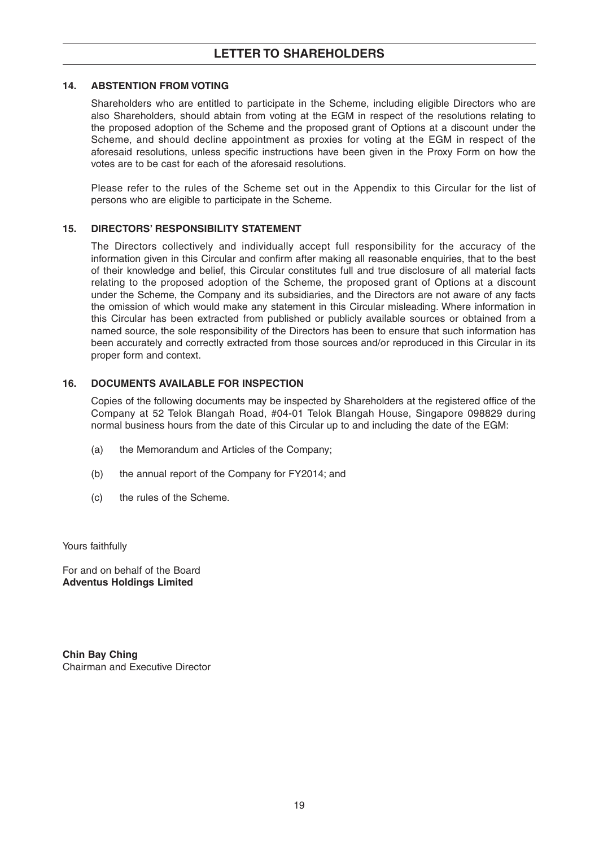## **14. ABSTENTION FROM VOTING**

Shareholders who are entitled to participate in the Scheme, including eligible Directors who are also Shareholders, should abtain from voting at the EGM in respect of the resolutions relating to the proposed adoption of the Scheme and the proposed grant of Options at a discount under the Scheme, and should decline appointment as proxies for voting at the EGM in respect of the aforesaid resolutions, unless specific instructions have been given in the Proxy Form on how the votes are to be cast for each of the aforesaid resolutions.

Please refer to the rules of the Scheme set out in the Appendix to this Circular for the list of persons who are eligible to participate in the Scheme.

## **15. DIRECTORS' RESPONSIBILITY STATEMENT**

The Directors collectively and individually accept full responsibility for the accuracy of the information given in this Circular and confirm after making all reasonable enquiries, that to the best of their knowledge and belief, this Circular constitutes full and true disclosure of all material facts relating to the proposed adoption of the Scheme, the proposed grant of Options at a discount under the Scheme, the Company and its subsidiaries, and the Directors are not aware of any facts the omission of which would make any statement in this Circular misleading. Where information in this Circular has been extracted from published or publicly available sources or obtained from a named source, the sole responsibility of the Directors has been to ensure that such information has been accurately and correctly extracted from those sources and/or reproduced in this Circular in its proper form and context.

## **16. DOCUMENTS AVAILABLE FOR INSPECTION**

Copies of the following documents may be inspected by Shareholders at the registered office of the Company at 52 Telok Blangah Road, #04-01 Telok Blangah House, Singapore 098829 during normal business hours from the date of this Circular up to and including the date of the EGM:

- (a) the Memorandum and Articles of the Company;
- (b) the annual report of the Company for FY2014; and
- (c) the rules of the Scheme.

Yours faithfully

For and on behalf of the Board **Adventus Holdings Limited**

**Chin Bay Ching** Chairman and Executive Director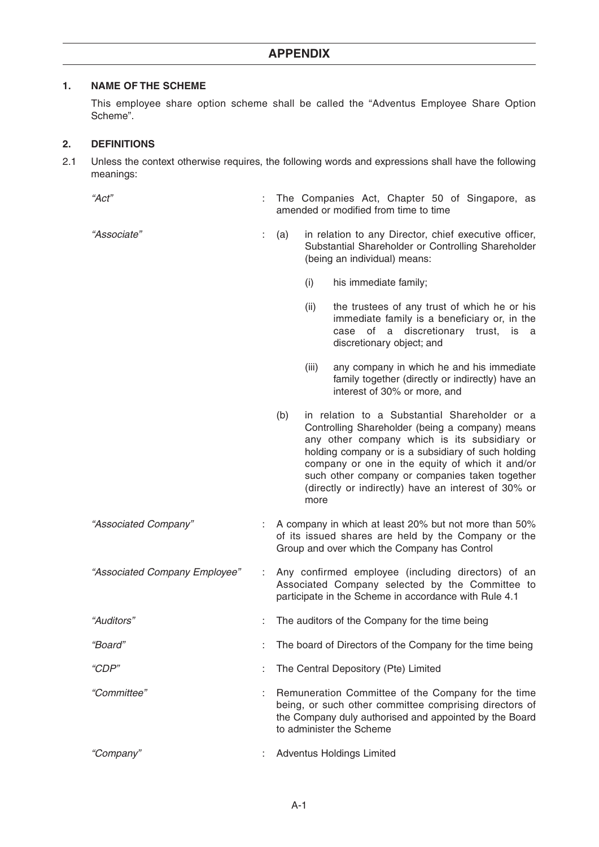## **1. NAME OF THE SCHEME**

This employee share option scheme shall be called the "Adventus Employee Share Option Scheme".

## **2. DEFINITIONS**

2.1 Unless the context otherwise requires, the following words and expressions shall have the following meanings:

- "Act" : The Companies Act, Chapter 50 of Singapore, as amended or modified from time to time
- 
- "Associate" : (a) in relation to any Director, chief executive officer, Substantial Shareholder or Controlling Shareholder (being an individual) means:
	- (i) his immediate family;
	- (ii) the trustees of any trust of which he or his immediate family is a beneficiary or, in the case of a discretionary trust, is a discretionary object; and
	- (iii) any company in which he and his immediate family together (directly or indirectly) have an interest of 30% or more, and
	- (b) in relation to a Substantial Shareholder or a Controlling Shareholder (being a company) means any other company which is its subsidiary or holding company or is a subsidiary of such holding company or one in the equity of which it and/or such other company or companies taken together (directly or indirectly) have an interest of 30% or more
- "Associated Company" : A company in which at least 20% but not more than 50% of its issued shares are held by the Company or the Group and over which the Company has Control
- "Associated Company Employee" : Any confirmed employee (including directors) of an Associated Company selected by the Committee to participate in the Scheme in accordance with Rule 4.1
- "Auditors" : The auditors of the Company for the time being
- "Board" **Example 2**: The board of Directors of the Company for the time being
- "CDP" : The Central Depository (Pte) Limited
- "Committee" : Remuneration Committee of the Company for the time being, or such other committee comprising directors of the Company duly authorised and appointed by the Board to administer the Scheme
- "Company" : Adventus Holdings Limited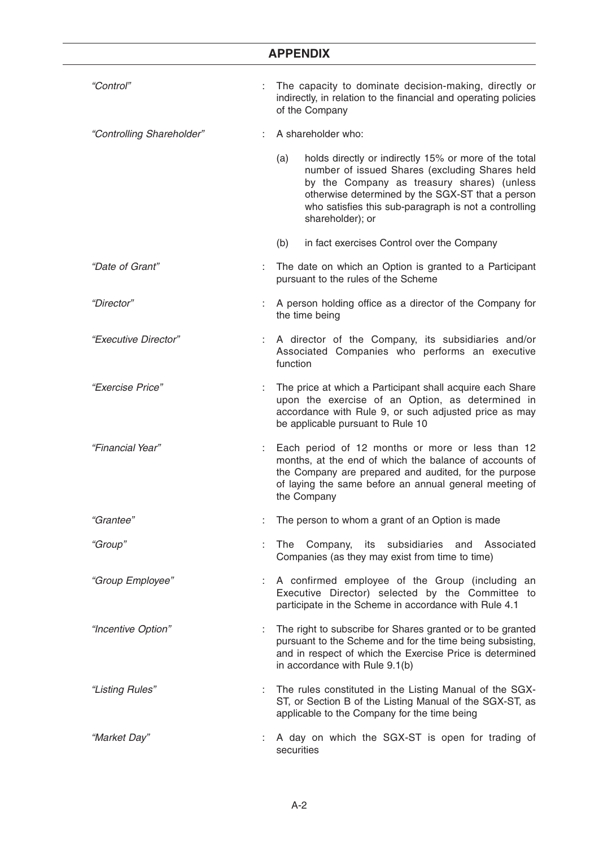| "Control"                 |   | The capacity to dominate decision-making, directly or<br>indirectly, in relation to the financial and operating policies<br>of the Company                                                                                                                                                    |
|---------------------------|---|-----------------------------------------------------------------------------------------------------------------------------------------------------------------------------------------------------------------------------------------------------------------------------------------------|
| "Controlling Shareholder" |   | A shareholder who:                                                                                                                                                                                                                                                                            |
|                           |   | holds directly or indirectly 15% or more of the total<br>(a)<br>number of issued Shares (excluding Shares held<br>by the Company as treasury shares) (unless<br>otherwise determined by the SGX-ST that a person<br>who satisfies this sub-paragraph is not a controlling<br>shareholder); or |
|                           |   | in fact exercises Control over the Company<br>(b)                                                                                                                                                                                                                                             |
| "Date of Grant"           | ÷ | The date on which an Option is granted to a Participant<br>pursuant to the rules of the Scheme                                                                                                                                                                                                |
| "Director"                |   | A person holding office as a director of the Company for<br>the time being                                                                                                                                                                                                                    |
| "Executive Director"      |   | A director of the Company, its subsidiaries and/or<br>Associated Companies who performs an executive<br>function                                                                                                                                                                              |
| "Exercise Price"          |   | The price at which a Participant shall acquire each Share<br>upon the exercise of an Option, as determined in<br>accordance with Rule 9, or such adjusted price as may<br>be applicable pursuant to Rule 10                                                                                   |
| "Financial Year"          |   | Each period of 12 months or more or less than 12<br>months, at the end of which the balance of accounts of<br>the Company are prepared and audited, for the purpose<br>of laying the same before an annual general meeting of<br>the Company                                                  |
| "Grantee"                 |   | The person to whom a grant of an Option is made                                                                                                                                                                                                                                               |
| "Group"                   | ÷ | The Company, its subsidiaries<br>and Associated<br>Companies (as they may exist from time to time)                                                                                                                                                                                            |
| "Group Employee"          | ÷ | A confirmed employee of the Group (including an<br>Executive Director) selected by the Committee to<br>participate in the Scheme in accordance with Rule 4.1                                                                                                                                  |
| "Incentive Option"        | ÷ | The right to subscribe for Shares granted or to be granted<br>pursuant to the Scheme and for the time being subsisting,<br>and in respect of which the Exercise Price is determined<br>in accordance with Rule 9.1(b)                                                                         |
| "Listing Rules"           |   | : The rules constituted in the Listing Manual of the SGX-<br>ST, or Section B of the Listing Manual of the SGX-ST, as<br>applicable to the Company for the time being                                                                                                                         |
| "Market Day"              |   | A day on which the SGX-ST is open for trading of<br>securities                                                                                                                                                                                                                                |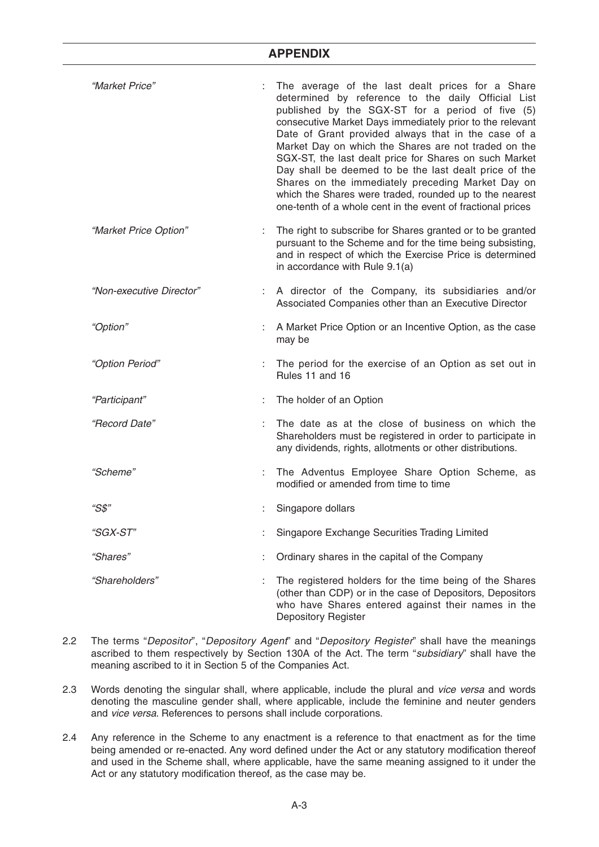| "Market Price"           | The average of the last dealt prices for a Share<br>determined by reference to the daily Official List<br>published by the SGX-ST for a period of five (5)<br>consecutive Market Days immediately prior to the relevant<br>Date of Grant provided always that in the case of a<br>Market Day on which the Shares are not traded on the<br>SGX-ST, the last dealt price for Shares on such Market<br>Day shall be deemed to be the last dealt price of the<br>Shares on the immediately preceding Market Day on<br>which the Shares were traded, rounded up to the nearest<br>one-tenth of a whole cent in the event of fractional prices |
|--------------------------|------------------------------------------------------------------------------------------------------------------------------------------------------------------------------------------------------------------------------------------------------------------------------------------------------------------------------------------------------------------------------------------------------------------------------------------------------------------------------------------------------------------------------------------------------------------------------------------------------------------------------------------|
| "Market Price Option"    | : The right to subscribe for Shares granted or to be granted<br>pursuant to the Scheme and for the time being subsisting,<br>and in respect of which the Exercise Price is determined<br>in accordance with Rule 9.1(a)                                                                                                                                                                                                                                                                                                                                                                                                                  |
| "Non-executive Director" | : A director of the Company, its subsidiaries and/or<br>Associated Companies other than an Executive Director                                                                                                                                                                                                                                                                                                                                                                                                                                                                                                                            |
| "Option"                 | A Market Price Option or an Incentive Option, as the case<br>may be                                                                                                                                                                                                                                                                                                                                                                                                                                                                                                                                                                      |
| "Option Period"          | : The period for the exercise of an Option as set out in<br>Rules 11 and 16                                                                                                                                                                                                                                                                                                                                                                                                                                                                                                                                                              |
| "Participant"            | The holder of an Option                                                                                                                                                                                                                                                                                                                                                                                                                                                                                                                                                                                                                  |
| "Record Date"            | The date as at the close of business on which the<br>Shareholders must be registered in order to participate in<br>any dividends, rights, allotments or other distributions.                                                                                                                                                                                                                                                                                                                                                                                                                                                             |
| "Scheme"                 | : The Adventus Employee Share Option Scheme, as<br>modified or amended from time to time                                                                                                                                                                                                                                                                                                                                                                                                                                                                                                                                                 |
| "S\$"                    | Singapore dollars                                                                                                                                                                                                                                                                                                                                                                                                                                                                                                                                                                                                                        |
| "SGX-ST"                 | Singapore Exchange Securities Trading Limited                                                                                                                                                                                                                                                                                                                                                                                                                                                                                                                                                                                            |
| "Shares"                 | Ordinary shares in the capital of the Company                                                                                                                                                                                                                                                                                                                                                                                                                                                                                                                                                                                            |
| "Shareholders"           | The registered holders for the time being of the Shares<br>(other than CDP) or in the case of Depositors, Depositors<br>who have Shares entered against their names in the<br>Depository Register                                                                                                                                                                                                                                                                                                                                                                                                                                        |

- 2.2 The terms "Depositor", "Depository Agent" and "Depository Register" shall have the meanings ascribed to them respectively by Section 130A of the Act. The term "subsidiary" shall have the meaning ascribed to it in Section 5 of the Companies Act.
- 2.3 Words denoting the singular shall, where applicable, include the plural and vice versa and words denoting the masculine gender shall, where applicable, include the feminine and neuter genders and vice versa. References to persons shall include corporations.
- 2.4 Any reference in the Scheme to any enactment is a reference to that enactment as for the time being amended or re-enacted. Any word defined under the Act or any statutory modification thereof and used in the Scheme shall, where applicable, have the same meaning assigned to it under the Act or any statutory modification thereof, as the case may be.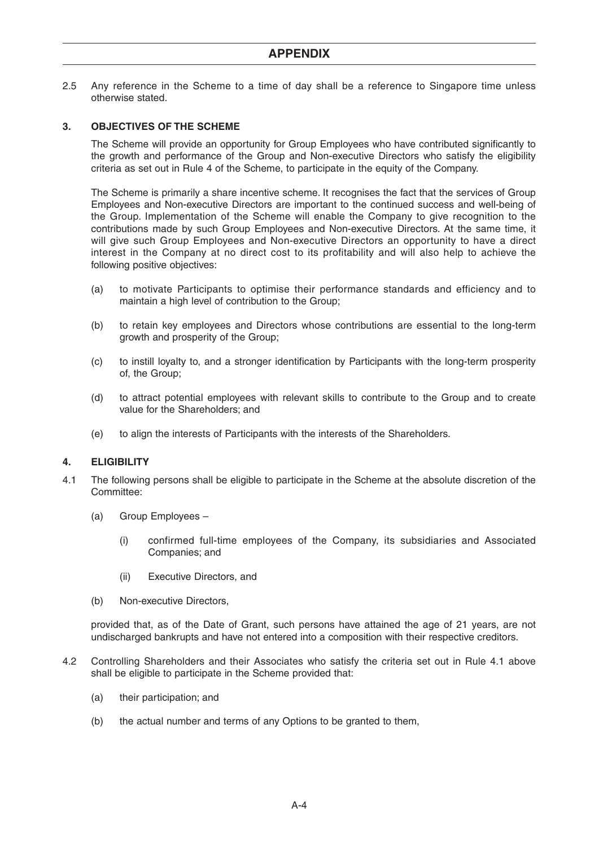2.5 Any reference in the Scheme to a time of day shall be a reference to Singapore time unless otherwise stated.

## **3. OBJECTIVES OF THE SCHEME**

The Scheme will provide an opportunity for Group Employees who have contributed significantly to the growth and performance of the Group and Non-executive Directors who satisfy the eligibility criteria as set out in Rule 4 of the Scheme, to participate in the equity of the Company.

The Scheme is primarily a share incentive scheme. It recognises the fact that the services of Group Employees and Non-executive Directors are important to the continued success and well-being of the Group. Implementation of the Scheme will enable the Company to give recognition to the contributions made by such Group Employees and Non-executive Directors. At the same time, it will give such Group Employees and Non-executive Directors an opportunity to have a direct interest in the Company at no direct cost to its profitability and will also help to achieve the following positive objectives:

- (a) to motivate Participants to optimise their performance standards and efficiency and to maintain a high level of contribution to the Group;
- (b) to retain key employees and Directors whose contributions are essential to the long-term growth and prosperity of the Group;
- (c) to instill loyalty to, and a stronger identification by Participants with the long-term prosperity of, the Group;
- (d) to attract potential employees with relevant skills to contribute to the Group and to create value for the Shareholders; and
- (e) to align the interests of Participants with the interests of the Shareholders.

#### **4. ELIGIBILITY**

- 4.1 The following persons shall be eligible to participate in the Scheme at the absolute discretion of the Committee:
	- (a) Group Employees
		- (i) confirmed full-time employees of the Company, its subsidiaries and Associated Companies; and
		- (ii) Executive Directors, and
	- (b) Non-executive Directors,

provided that, as of the Date of Grant, such persons have attained the age of 21 years, are not undischarged bankrupts and have not entered into a composition with their respective creditors.

- 4.2 Controlling Shareholders and their Associates who satisfy the criteria set out in Rule 4.1 above shall be eligible to participate in the Scheme provided that:
	- (a) their participation; and
	- (b) the actual number and terms of any Options to be granted to them,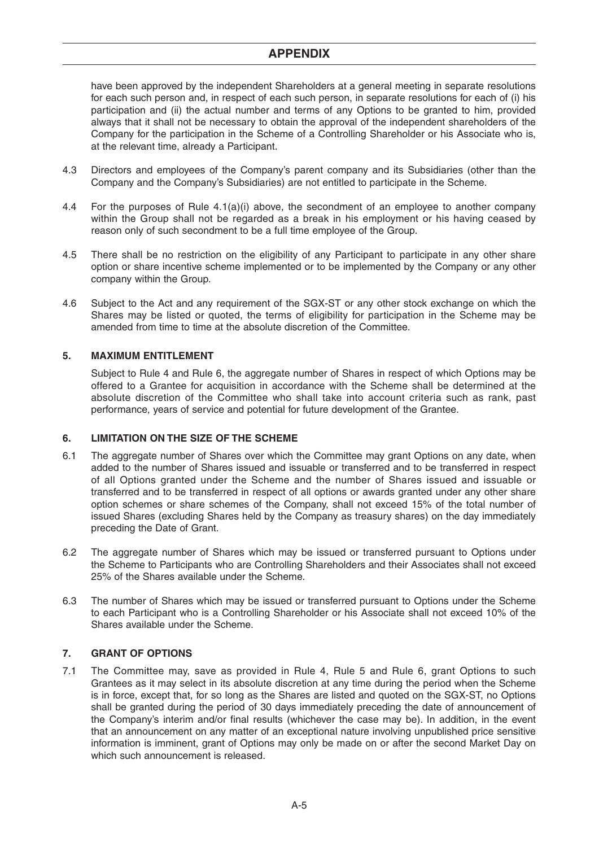have been approved by the independent Shareholders at a general meeting in separate resolutions for each such person and, in respect of each such person, in separate resolutions for each of (i) his participation and (ii) the actual number and terms of any Options to be granted to him, provided always that it shall not be necessary to obtain the approval of the independent shareholders of the Company for the participation in the Scheme of a Controlling Shareholder or his Associate who is, at the relevant time, already a Participant.

- 4.3 Directors and employees of the Company's parent company and its Subsidiaries (other than the Company and the Company's Subsidiaries) are not entitled to participate in the Scheme.
- 4.4 For the purposes of Rule 4.1(a)(i) above, the secondment of an employee to another company within the Group shall not be regarded as a break in his employment or his having ceased by reason only of such secondment to be a full time employee of the Group.
- 4.5 There shall be no restriction on the eligibility of any Participant to participate in any other share option or share incentive scheme implemented or to be implemented by the Company or any other company within the Group.
- 4.6 Subject to the Act and any requirement of the SGX-ST or any other stock exchange on which the Shares may be listed or quoted, the terms of eligibility for participation in the Scheme may be amended from time to time at the absolute discretion of the Committee.

## **5. MAXIMUM ENTITLEMENT**

Subject to Rule 4 and Rule 6, the aggregate number of Shares in respect of which Options may be offered to a Grantee for acquisition in accordance with the Scheme shall be determined at the absolute discretion of the Committee who shall take into account criteria such as rank, past performance, years of service and potential for future development of the Grantee.

#### **6. LIMITATION ON THE SIZE OF THE SCHEME**

- 6.1 The aggregate number of Shares over which the Committee may grant Options on any date, when added to the number of Shares issued and issuable or transferred and to be transferred in respect of all Options granted under the Scheme and the number of Shares issued and issuable or transferred and to be transferred in respect of all options or awards granted under any other share option schemes or share schemes of the Company, shall not exceed 15% of the total number of issued Shares (excluding Shares held by the Company as treasury shares) on the day immediately preceding the Date of Grant.
- 6.2 The aggregate number of Shares which may be issued or transferred pursuant to Options under the Scheme to Participants who are Controlling Shareholders and their Associates shall not exceed 25% of the Shares available under the Scheme.
- 6.3 The number of Shares which may be issued or transferred pursuant to Options under the Scheme to each Participant who is a Controlling Shareholder or his Associate shall not exceed 10% of the Shares available under the Scheme.

## **7. GRANT OF OPTIONS**

7.1 The Committee may, save as provided in Rule 4, Rule 5 and Rule 6, grant Options to such Grantees as it may select in its absolute discretion at any time during the period when the Scheme is in force, except that, for so long as the Shares are listed and quoted on the SGX-ST, no Options shall be granted during the period of 30 days immediately preceding the date of announcement of the Company's interim and/or final results (whichever the case may be). In addition, in the event that an announcement on any matter of an exceptional nature involving unpublished price sensitive information is imminent, grant of Options may only be made on or after the second Market Day on which such announcement is released.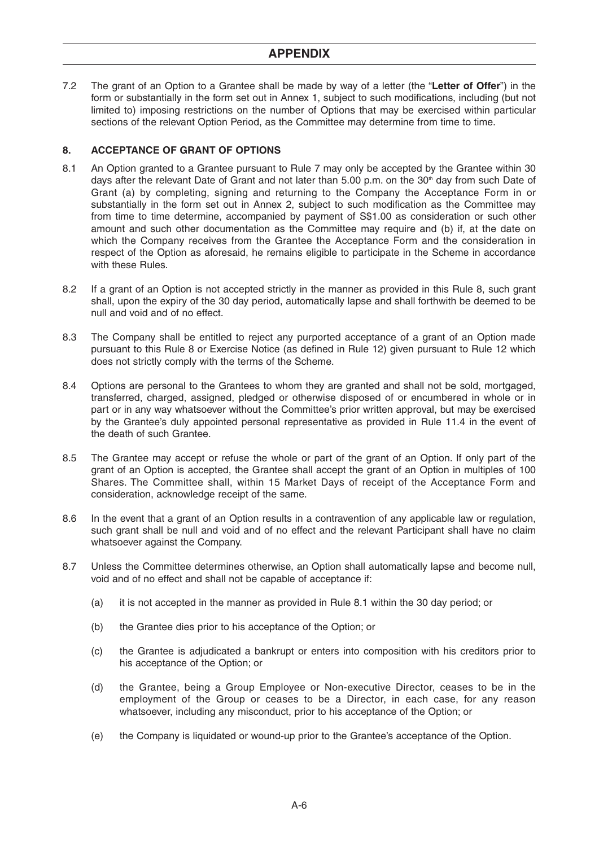7.2 The grant of an Option to a Grantee shall be made by way of a letter (the "**Letter of Offer**") in the form or substantially in the form set out in Annex 1, subject to such modifications, including (but not limited to) imposing restrictions on the number of Options that may be exercised within particular sections of the relevant Option Period, as the Committee may determine from time to time.

## **8. ACCEPTANCE OF GRANT OF OPTIONS**

- 8.1 An Option granted to a Grantee pursuant to Rule 7 may only be accepted by the Grantee within 30 days after the relevant Date of Grant and not later than 5.00 p.m. on the  $30<sup>th</sup>$  day from such Date of Grant (a) by completing, signing and returning to the Company the Acceptance Form in or substantially in the form set out in Annex 2, subject to such modification as the Committee may from time to time determine, accompanied by payment of S\$1.00 as consideration or such other amount and such other documentation as the Committee may require and (b) if, at the date on which the Company receives from the Grantee the Acceptance Form and the consideration in respect of the Option as aforesaid, he remains eligible to participate in the Scheme in accordance with these Rules.
- 8.2 If a grant of an Option is not accepted strictly in the manner as provided in this Rule 8, such grant shall, upon the expiry of the 30 day period, automatically lapse and shall forthwith be deemed to be null and void and of no effect.
- 8.3 The Company shall be entitled to reject any purported acceptance of a grant of an Option made pursuant to this Rule 8 or Exercise Notice (as defined in Rule 12) given pursuant to Rule 12 which does not strictly comply with the terms of the Scheme.
- 8.4 Options are personal to the Grantees to whom they are granted and shall not be sold, mortgaged, transferred, charged, assigned, pledged or otherwise disposed of or encumbered in whole or in part or in any way whatsoever without the Committee's prior written approval, but may be exercised by the Grantee's duly appointed personal representative as provided in Rule 11.4 in the event of the death of such Grantee.
- 8.5 The Grantee may accept or refuse the whole or part of the grant of an Option. If only part of the grant of an Option is accepted, the Grantee shall accept the grant of an Option in multiples of 100 Shares. The Committee shall, within 15 Market Days of receipt of the Acceptance Form and consideration, acknowledge receipt of the same.
- 8.6 In the event that a grant of an Option results in a contravention of any applicable law or regulation, such grant shall be null and void and of no effect and the relevant Participant shall have no claim whatsoever against the Company.
- 8.7 Unless the Committee determines otherwise, an Option shall automatically lapse and become null, void and of no effect and shall not be capable of acceptance if:
	- (a) it is not accepted in the manner as provided in Rule 8.1 within the 30 day period; or
	- (b) the Grantee dies prior to his acceptance of the Option; or
	- (c) the Grantee is adjudicated a bankrupt or enters into composition with his creditors prior to his acceptance of the Option; or
	- (d) the Grantee, being a Group Employee or Non-executive Director, ceases to be in the employment of the Group or ceases to be a Director, in each case, for any reason whatsoever, including any misconduct, prior to his acceptance of the Option; or
	- (e) the Company is liquidated or wound-up prior to the Grantee's acceptance of the Option.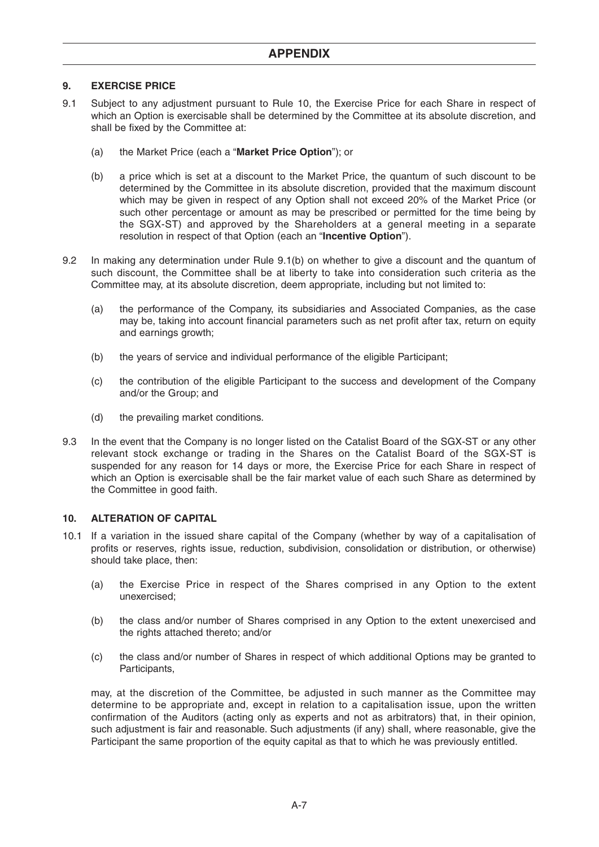## **9. EXERCISE PRICE**

- 9.1 Subject to any adjustment pursuant to Rule 10, the Exercise Price for each Share in respect of which an Option is exercisable shall be determined by the Committee at its absolute discretion, and shall be fixed by the Committee at:
	- (a) the Market Price (each a "**Market Price Option**"); or
	- (b) a price which is set at a discount to the Market Price, the quantum of such discount to be determined by the Committee in its absolute discretion, provided that the maximum discount which may be given in respect of any Option shall not exceed 20% of the Market Price (or such other percentage or amount as may be prescribed or permitted for the time being by the SGX-ST) and approved by the Shareholders at a general meeting in a separate resolution in respect of that Option (each an "**Incentive Option**").
- 9.2 In making any determination under Rule 9.1(b) on whether to give a discount and the quantum of such discount, the Committee shall be at liberty to take into consideration such criteria as the Committee may, at its absolute discretion, deem appropriate, including but not limited to:
	- (a) the performance of the Company, its subsidiaries and Associated Companies, as the case may be, taking into account financial parameters such as net profit after tax, return on equity and earnings growth;
	- (b) the years of service and individual performance of the eligible Participant;
	- (c) the contribution of the eligible Participant to the success and development of the Company and/or the Group; and
	- (d) the prevailing market conditions.
- 9.3 In the event that the Company is no longer listed on the Catalist Board of the SGX-ST or any other relevant stock exchange or trading in the Shares on the Catalist Board of the SGX-ST is suspended for any reason for 14 days or more, the Exercise Price for each Share in respect of which an Option is exercisable shall be the fair market value of each such Share as determined by the Committee in good faith.

## **10. ALTERATION OF CAPITAL**

- 10.1 If a variation in the issued share capital of the Company (whether by way of a capitalisation of profits or reserves, rights issue, reduction, subdivision, consolidation or distribution, or otherwise) should take place, then:
	- (a) the Exercise Price in respect of the Shares comprised in any Option to the extent unexercised;
	- (b) the class and/or number of Shares comprised in any Option to the extent unexercised and the rights attached thereto; and/or
	- (c) the class and/or number of Shares in respect of which additional Options may be granted to Participants,

may, at the discretion of the Committee, be adjusted in such manner as the Committee may determine to be appropriate and, except in relation to a capitalisation issue, upon the written confirmation of the Auditors (acting only as experts and not as arbitrators) that, in their opinion, such adjustment is fair and reasonable. Such adjustments (if any) shall, where reasonable, give the Participant the same proportion of the equity capital as that to which he was previously entitled.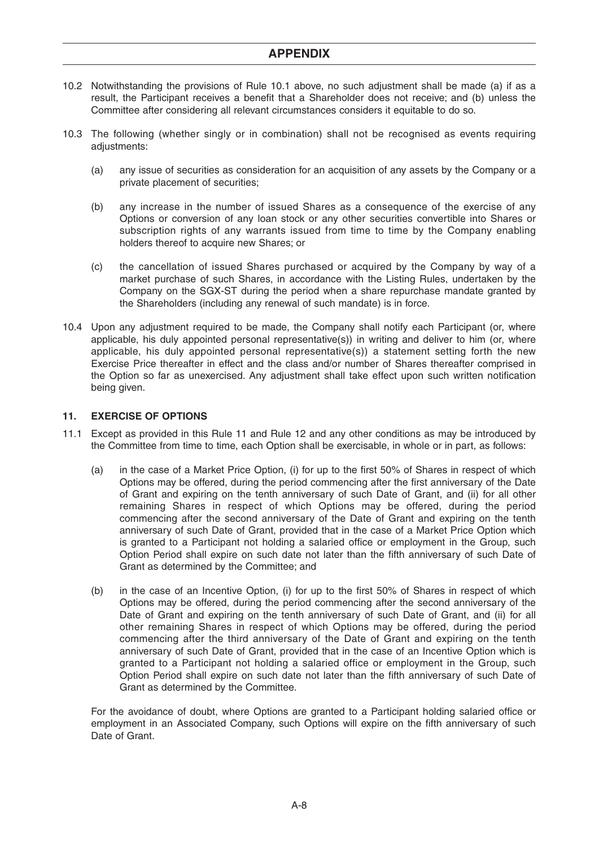- 10.2 Notwithstanding the provisions of Rule 10.1 above, no such adjustment shall be made (a) if as a result, the Participant receives a benefit that a Shareholder does not receive; and (b) unless the Committee after considering all relevant circumstances considers it equitable to do so.
- 10.3 The following (whether singly or in combination) shall not be recognised as events requiring adjustments:
	- (a) any issue of securities as consideration for an acquisition of any assets by the Company or a private placement of securities;
	- (b) any increase in the number of issued Shares as a consequence of the exercise of any Options or conversion of any loan stock or any other securities convertible into Shares or subscription rights of any warrants issued from time to time by the Company enabling holders thereof to acquire new Shares; or
	- (c) the cancellation of issued Shares purchased or acquired by the Company by way of a market purchase of such Shares, in accordance with the Listing Rules, undertaken by the Company on the SGX-ST during the period when a share repurchase mandate granted by the Shareholders (including any renewal of such mandate) is in force.
- 10.4 Upon any adjustment required to be made, the Company shall notify each Participant (or, where applicable, his duly appointed personal representative(s)) in writing and deliver to him (or, where applicable, his duly appointed personal representative(s)) a statement setting forth the new Exercise Price thereafter in effect and the class and/or number of Shares thereafter comprised in the Option so far as unexercised. Any adjustment shall take effect upon such written notification being given.

## **11. EXERCISE OF OPTIONS**

- 11.1 Except as provided in this Rule 11 and Rule 12 and any other conditions as may be introduced by the Committee from time to time, each Option shall be exercisable, in whole or in part, as follows:
	- (a) in the case of a Market Price Option, (i) for up to the first 50% of Shares in respect of which Options may be offered, during the period commencing after the first anniversary of the Date of Grant and expiring on the tenth anniversary of such Date of Grant, and (ii) for all other remaining Shares in respect of which Options may be offered, during the period commencing after the second anniversary of the Date of Grant and expiring on the tenth anniversary of such Date of Grant, provided that in the case of a Market Price Option which is granted to a Participant not holding a salaried office or employment in the Group, such Option Period shall expire on such date not later than the fifth anniversary of such Date of Grant as determined by the Committee; and
	- (b) in the case of an Incentive Option, (i) for up to the first 50% of Shares in respect of which Options may be offered, during the period commencing after the second anniversary of the Date of Grant and expiring on the tenth anniversary of such Date of Grant, and (ii) for all other remaining Shares in respect of which Options may be offered, during the period commencing after the third anniversary of the Date of Grant and expiring on the tenth anniversary of such Date of Grant, provided that in the case of an Incentive Option which is granted to a Participant not holding a salaried office or employment in the Group, such Option Period shall expire on such date not later than the fifth anniversary of such Date of Grant as determined by the Committee.

For the avoidance of doubt, where Options are granted to a Participant holding salaried office or employment in an Associated Company, such Options will expire on the fifth anniversary of such Date of Grant.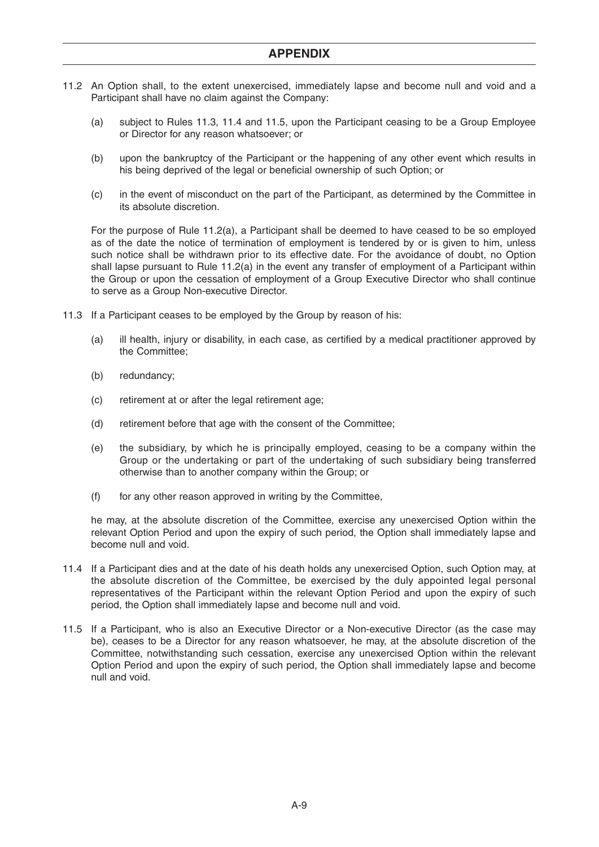- 11.2 An Option shall, to the extent unexercised, immediately lapse and become null and void and a Participant shall have no claim against the Company:
	- (a) subject to Rules 11.3, 11.4 and 11.5, upon the Participant ceasing to be a Group Employee or Director for any reason whatsoever; or
	- (b) upon the bankruptcy of the Participant or the happening of any other event which results in his being deprived of the legal or beneficial ownership of such Option; or
	- (c) in the event of misconduct on the part of the Participant, as determined by the Committee in its absolute discretion.

For the purpose of Rule 11.2(a), a Participant shall be deemed to have ceased to be so employed as of the date the notice of termination of employment is tendered by or is given to him, unless such notice shall be withdrawn prior to its effective date. For the avoidance of doubt, no Option shall lapse pursuant to Rule 11.2(a) in the event any transfer of employment of a Participant within the Group or upon the cessation of employment of a Group Executive Director who shall continue to serve as a Group Non-executive Director.

- 11.3 If a Participant ceases to be employed by the Group by reason of his:
	- (a) ill health, injury or disability, in each case, as certified by a medical practitioner approved by the Committee;
	- (b) redundancy;
	- (c) retirement at or after the legal retirement age;
	- (d) retirement before that age with the consent of the Committee;
	- (e) the subsidiary, by which he is principally employed, ceasing to be a company within the Group or the undertaking or part of the undertaking of such subsidiary being transferred otherwise than to another company within the Group; or
	- $(f)$  for any other reason approved in writing by the Committee,

he may, at the absolute discretion of the Committee, exercise any unexercised Option within the relevant Option Period and upon the expiry of such period, the Option shall immediately lapse and become null and void.

- 11.4 If a Participant dies and at the date of his death holds any unexercised Option, such Option may, at the absolute discretion of the Committee, be exercised by the duly appointed legal personal representatives of the Participant within the relevant Option Period and upon the expiry of such period, the Option shall immediately lapse and become null and void.
- 11.5 If a Participant, who is also an Executive Director or a Non-executive Director (as the case may be), ceases to be a Director for any reason whatsoever, he may, at the absolute discretion of the Committee, notwithstanding such cessation, exercise any unexercised Option within the relevant Option Period and upon the expiry of such period, the Option shall immediately lapse and become null and void.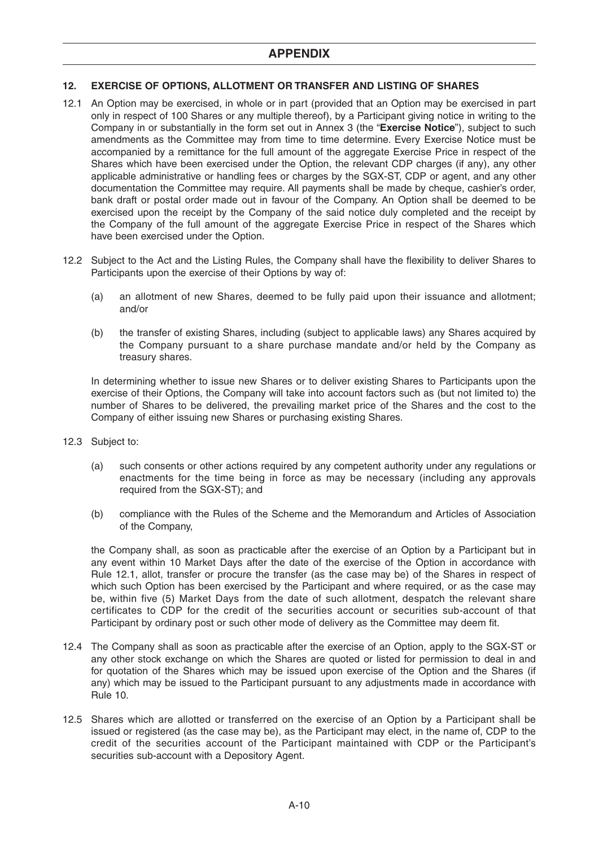## **12. EXERCISE OF OPTIONS, ALLOTMENT OR TRANSFER AND LISTING OF SHARES**

- 12.1 An Option may be exercised, in whole or in part (provided that an Option may be exercised in part only in respect of 100 Shares or any multiple thereof), by a Participant giving notice in writing to the Company in or substantially in the form set out in Annex 3 (the "**Exercise Notice**"), subject to such amendments as the Committee may from time to time determine. Every Exercise Notice must be accompanied by a remittance for the full amount of the aggregate Exercise Price in respect of the Shares which have been exercised under the Option, the relevant CDP charges (if any), any other applicable administrative or handling fees or charges by the SGX-ST, CDP or agent, and any other documentation the Committee may require. All payments shall be made by cheque, cashier's order, bank draft or postal order made out in favour of the Company. An Option shall be deemed to be exercised upon the receipt by the Company of the said notice duly completed and the receipt by the Company of the full amount of the aggregate Exercise Price in respect of the Shares which have been exercised under the Option.
- 12.2 Subject to the Act and the Listing Rules, the Company shall have the flexibility to deliver Shares to Participants upon the exercise of their Options by way of:
	- (a) an allotment of new Shares, deemed to be fully paid upon their issuance and allotment; and/or
	- (b) the transfer of existing Shares, including (subject to applicable laws) any Shares acquired by the Company pursuant to a share purchase mandate and/or held by the Company as treasury shares.

In determining whether to issue new Shares or to deliver existing Shares to Participants upon the exercise of their Options, the Company will take into account factors such as (but not limited to) the number of Shares to be delivered, the prevailing market price of the Shares and the cost to the Company of either issuing new Shares or purchasing existing Shares.

- 12.3 Subject to:
	- (a) such consents or other actions required by any competent authority under any regulations or enactments for the time being in force as may be necessary (including any approvals required from the SGX-ST); and
	- (b) compliance with the Rules of the Scheme and the Memorandum and Articles of Association of the Company,

the Company shall, as soon as practicable after the exercise of an Option by a Participant but in any event within 10 Market Days after the date of the exercise of the Option in accordance with Rule 12.1, allot, transfer or procure the transfer (as the case may be) of the Shares in respect of which such Option has been exercised by the Participant and where required, or as the case may be, within five (5) Market Days from the date of such allotment, despatch the relevant share certificates to CDP for the credit of the securities account or securities sub-account of that Participant by ordinary post or such other mode of delivery as the Committee may deem fit.

- 12.4 The Company shall as soon as practicable after the exercise of an Option, apply to the SGX-ST or any other stock exchange on which the Shares are quoted or listed for permission to deal in and for quotation of the Shares which may be issued upon exercise of the Option and the Shares (if any) which may be issued to the Participant pursuant to any adjustments made in accordance with Rule 10.
- 12.5 Shares which are allotted or transferred on the exercise of an Option by a Participant shall be issued or registered (as the case may be), as the Participant may elect, in the name of, CDP to the credit of the securities account of the Participant maintained with CDP or the Participant's securities sub-account with a Depository Agent.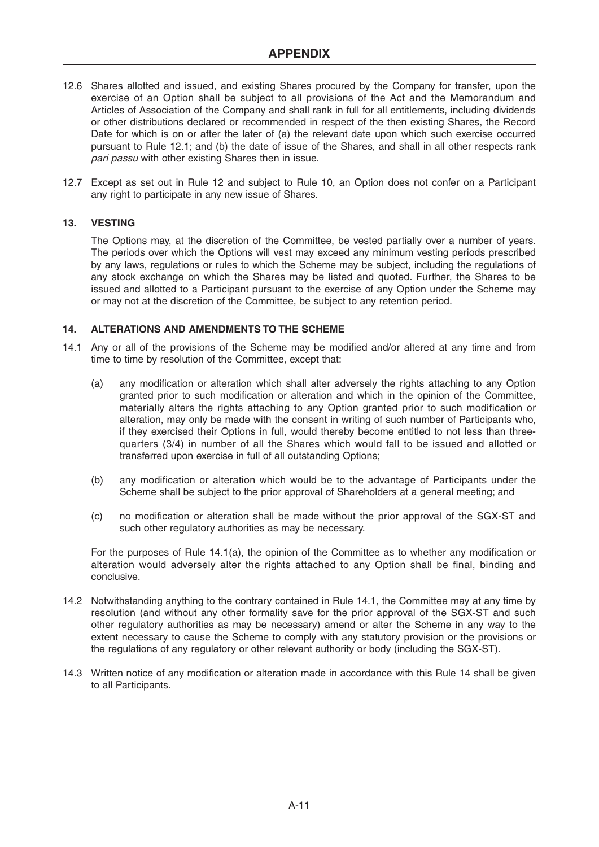- 12.6 Shares allotted and issued, and existing Shares procured by the Company for transfer, upon the exercise of an Option shall be subject to all provisions of the Act and the Memorandum and Articles of Association of the Company and shall rank in full for all entitlements, including dividends or other distributions declared or recommended in respect of the then existing Shares, the Record Date for which is on or after the later of (a) the relevant date upon which such exercise occurred pursuant to Rule 12.1; and (b) the date of issue of the Shares, and shall in all other respects rank pari passu with other existing Shares then in issue.
- 12.7 Except as set out in Rule 12 and subject to Rule 10, an Option does not confer on a Participant any right to participate in any new issue of Shares.

## **13. VESTING**

The Options may, at the discretion of the Committee, be vested partially over a number of years. The periods over which the Options will vest may exceed any minimum vesting periods prescribed by any laws, regulations or rules to which the Scheme may be subject, including the regulations of any stock exchange on which the Shares may be listed and quoted. Further, the Shares to be issued and allotted to a Participant pursuant to the exercise of any Option under the Scheme may or may not at the discretion of the Committee, be subject to any retention period.

## **14. ALTERATIONS AND AMENDMENTS TO THE SCHEME**

- 14.1 Any or all of the provisions of the Scheme may be modified and/or altered at any time and from time to time by resolution of the Committee, except that:
	- (a) any modification or alteration which shall alter adversely the rights attaching to any Option granted prior to such modification or alteration and which in the opinion of the Committee, materially alters the rights attaching to any Option granted prior to such modification or alteration, may only be made with the consent in writing of such number of Participants who, if they exercised their Options in full, would thereby become entitled to not less than threequarters (3/4) in number of all the Shares which would fall to be issued and allotted or transferred upon exercise in full of all outstanding Options;
	- (b) any modification or alteration which would be to the advantage of Participants under the Scheme shall be subject to the prior approval of Shareholders at a general meeting; and
	- (c) no modification or alteration shall be made without the prior approval of the SGX-ST and such other regulatory authorities as may be necessary.

For the purposes of Rule 14.1(a), the opinion of the Committee as to whether any modification or alteration would adversely alter the rights attached to any Option shall be final, binding and conclusive.

- 14.2 Notwithstanding anything to the contrary contained in Rule 14.1, the Committee may at any time by resolution (and without any other formality save for the prior approval of the SGX-ST and such other regulatory authorities as may be necessary) amend or alter the Scheme in any way to the extent necessary to cause the Scheme to comply with any statutory provision or the provisions or the regulations of any regulatory or other relevant authority or body (including the SGX-ST).
- 14.3 Written notice of any modification or alteration made in accordance with this Rule 14 shall be given to all Participants.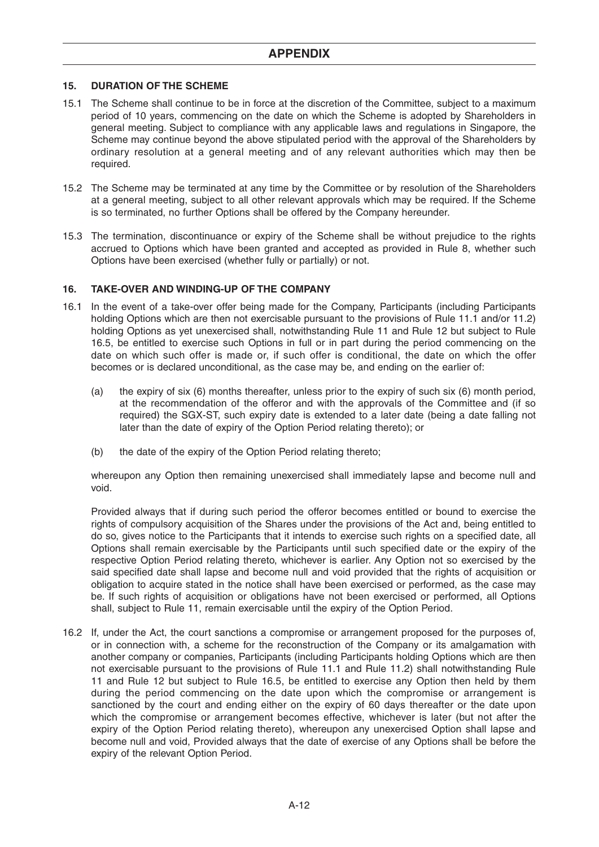## **15. DURATION OF THE SCHEME**

- 15.1 The Scheme shall continue to be in force at the discretion of the Committee, subject to a maximum period of 10 years, commencing on the date on which the Scheme is adopted by Shareholders in general meeting. Subject to compliance with any applicable laws and regulations in Singapore, the Scheme may continue beyond the above stipulated period with the approval of the Shareholders by ordinary resolution at a general meeting and of any relevant authorities which may then be required.
- 15.2 The Scheme may be terminated at any time by the Committee or by resolution of the Shareholders at a general meeting, subject to all other relevant approvals which may be required. If the Scheme is so terminated, no further Options shall be offered by the Company hereunder.
- 15.3 The termination, discontinuance or expiry of the Scheme shall be without prejudice to the rights accrued to Options which have been granted and accepted as provided in Rule 8, whether such Options have been exercised (whether fully or partially) or not.

## **16. TAKE-OVER AND WINDING-UP OF THE COMPANY**

- 16.1 In the event of a take-over offer being made for the Company, Participants (including Participants holding Options which are then not exercisable pursuant to the provisions of Rule 11.1 and/or 11.2) holding Options as yet unexercised shall, notwithstanding Rule 11 and Rule 12 but subject to Rule 16.5, be entitled to exercise such Options in full or in part during the period commencing on the date on which such offer is made or, if such offer is conditional, the date on which the offer becomes or is declared unconditional, as the case may be, and ending on the earlier of:
	- (a) the expiry of six (6) months thereafter, unless prior to the expiry of such six (6) month period, at the recommendation of the offeror and with the approvals of the Committee and (if so required) the SGX-ST, such expiry date is extended to a later date (being a date falling not later than the date of expiry of the Option Period relating thereto); or
	- (b) the date of the expiry of the Option Period relating thereto;

whereupon any Option then remaining unexercised shall immediately lapse and become null and void.

Provided always that if during such period the offeror becomes entitled or bound to exercise the rights of compulsory acquisition of the Shares under the provisions of the Act and, being entitled to do so, gives notice to the Participants that it intends to exercise such rights on a specified date, all Options shall remain exercisable by the Participants until such specified date or the expiry of the respective Option Period relating thereto, whichever is earlier. Any Option not so exercised by the said specified date shall lapse and become null and void provided that the rights of acquisition or obligation to acquire stated in the notice shall have been exercised or performed, as the case may be. If such rights of acquisition or obligations have not been exercised or performed, all Options shall, subject to Rule 11, remain exercisable until the expiry of the Option Period.

16.2 If, under the Act, the court sanctions a compromise or arrangement proposed for the purposes of, or in connection with, a scheme for the reconstruction of the Company or its amalgamation with another company or companies, Participants (including Participants holding Options which are then not exercisable pursuant to the provisions of Rule 11.1 and Rule 11.2) shall notwithstanding Rule 11 and Rule 12 but subject to Rule 16.5, be entitled to exercise any Option then held by them during the period commencing on the date upon which the compromise or arrangement is sanctioned by the court and ending either on the expiry of 60 days thereafter or the date upon which the compromise or arrangement becomes effective, whichever is later (but not after the expiry of the Option Period relating thereto), whereupon any unexercised Option shall lapse and become null and void, Provided always that the date of exercise of any Options shall be before the expiry of the relevant Option Period.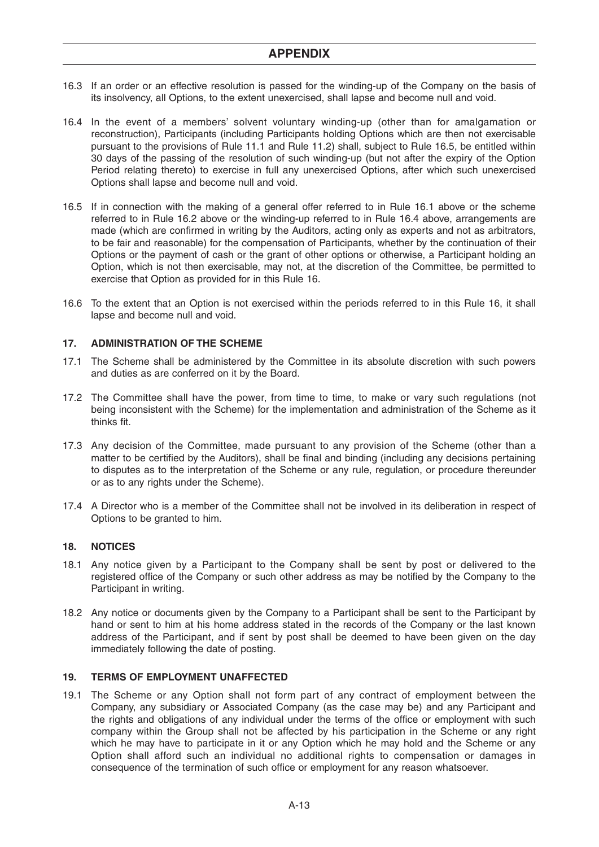- 16.3 If an order or an effective resolution is passed for the winding-up of the Company on the basis of its insolvency, all Options, to the extent unexercised, shall lapse and become null and void.
- 16.4 In the event of a members' solvent voluntary winding-up (other than for amalgamation or reconstruction), Participants (including Participants holding Options which are then not exercisable pursuant to the provisions of Rule 11.1 and Rule 11.2) shall, subject to Rule 16.5, be entitled within 30 days of the passing of the resolution of such winding-up (but not after the expiry of the Option Period relating thereto) to exercise in full any unexercised Options, after which such unexercised Options shall lapse and become null and void.
- 16.5 If in connection with the making of a general offer referred to in Rule 16.1 above or the scheme referred to in Rule 16.2 above or the winding-up referred to in Rule 16.4 above, arrangements are made (which are confirmed in writing by the Auditors, acting only as experts and not as arbitrators, to be fair and reasonable) for the compensation of Participants, whether by the continuation of their Options or the payment of cash or the grant of other options or otherwise, a Participant holding an Option, which is not then exercisable, may not, at the discretion of the Committee, be permitted to exercise that Option as provided for in this Rule 16.
- 16.6 To the extent that an Option is not exercised within the periods referred to in this Rule 16, it shall lapse and become null and void.

## **17. ADMINISTRATION OF THE SCHEME**

- 17.1 The Scheme shall be administered by the Committee in its absolute discretion with such powers and duties as are conferred on it by the Board.
- 17.2 The Committee shall have the power, from time to time, to make or vary such regulations (not being inconsistent with the Scheme) for the implementation and administration of the Scheme as it thinks fit.
- 17.3 Any decision of the Committee, made pursuant to any provision of the Scheme (other than a matter to be certified by the Auditors), shall be final and binding (including any decisions pertaining to disputes as to the interpretation of the Scheme or any rule, regulation, or procedure thereunder or as to any rights under the Scheme).
- 17.4 A Director who is a member of the Committee shall not be involved in its deliberation in respect of Options to be granted to him.

## **18. NOTICES**

- 18.1 Any notice given by a Participant to the Company shall be sent by post or delivered to the registered office of the Company or such other address as may be notified by the Company to the Participant in writing.
- 18.2 Any notice or documents given by the Company to a Participant shall be sent to the Participant by hand or sent to him at his home address stated in the records of the Company or the last known address of the Participant, and if sent by post shall be deemed to have been given on the day immediately following the date of posting.

#### **19. TERMS OF EMPLOYMENT UNAFFECTED**

19.1 The Scheme or any Option shall not form part of any contract of employment between the Company, any subsidiary or Associated Company (as the case may be) and any Participant and the rights and obligations of any individual under the terms of the office or employment with such company within the Group shall not be affected by his participation in the Scheme or any right which he may have to participate in it or any Option which he may hold and the Scheme or any Option shall afford such an individual no additional rights to compensation or damages in consequence of the termination of such office or employment for any reason whatsoever.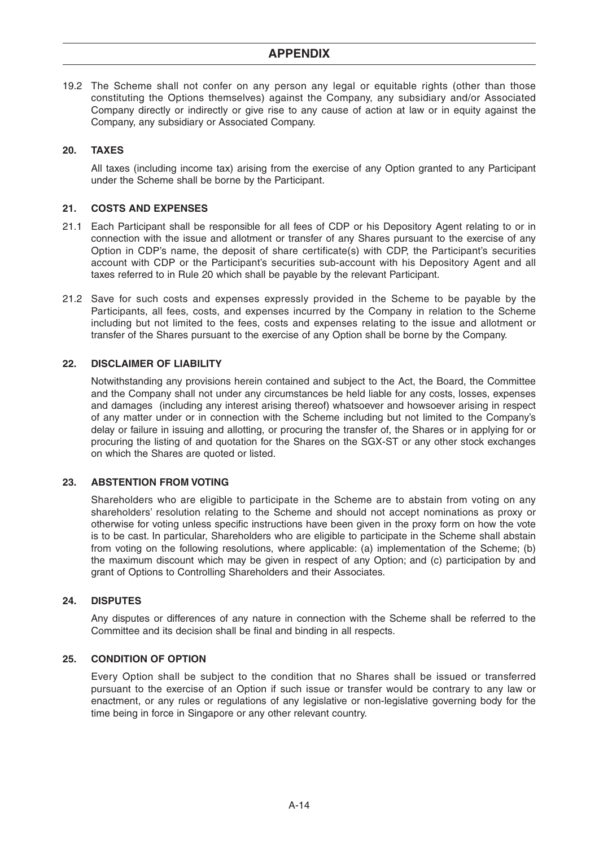19.2 The Scheme shall not confer on any person any legal or equitable rights (other than those constituting the Options themselves) against the Company, any subsidiary and/or Associated Company directly or indirectly or give rise to any cause of action at law or in equity against the Company, any subsidiary or Associated Company.

## **20. TAXES**

All taxes (including income tax) arising from the exercise of any Option granted to any Participant under the Scheme shall be borne by the Participant.

#### **21. COSTS AND EXPENSES**

- 21.1 Each Participant shall be responsible for all fees of CDP or his Depository Agent relating to or in connection with the issue and allotment or transfer of any Shares pursuant to the exercise of any Option in CDP's name, the deposit of share certificate(s) with CDP, the Participant's securities account with CDP or the Participant's securities sub-account with his Depository Agent and all taxes referred to in Rule 20 which shall be payable by the relevant Participant.
- 21.2 Save for such costs and expenses expressly provided in the Scheme to be payable by the Participants, all fees, costs, and expenses incurred by the Company in relation to the Scheme including but not limited to the fees, costs and expenses relating to the issue and allotment or transfer of the Shares pursuant to the exercise of any Option shall be borne by the Company.

## **22. DISCLAIMER OF LIABILITY**

Notwithstanding any provisions herein contained and subject to the Act, the Board, the Committee and the Company shall not under any circumstances be held liable for any costs, losses, expenses and damages (including any interest arising thereof) whatsoever and howsoever arising in respect of any matter under or in connection with the Scheme including but not limited to the Company's delay or failure in issuing and allotting, or procuring the transfer of, the Shares or in applying for or procuring the listing of and quotation for the Shares on the SGX-ST or any other stock exchanges on which the Shares are quoted or listed.

#### **23. ABSTENTION FROM VOTING**

Shareholders who are eligible to participate in the Scheme are to abstain from voting on any shareholders' resolution relating to the Scheme and should not accept nominations as proxy or otherwise for voting unless specific instructions have been given in the proxy form on how the vote is to be cast. In particular, Shareholders who are eligible to participate in the Scheme shall abstain from voting on the following resolutions, where applicable: (a) implementation of the Scheme; (b) the maximum discount which may be given in respect of any Option; and (c) participation by and grant of Options to Controlling Shareholders and their Associates.

## **24. DISPUTES**

Any disputes or differences of any nature in connection with the Scheme shall be referred to the Committee and its decision shall be final and binding in all respects.

#### **25. CONDITION OF OPTION**

Every Option shall be subject to the condition that no Shares shall be issued or transferred pursuant to the exercise of an Option if such issue or transfer would be contrary to any law or enactment, or any rules or regulations of any legislative or non-legislative governing body for the time being in force in Singapore or any other relevant country.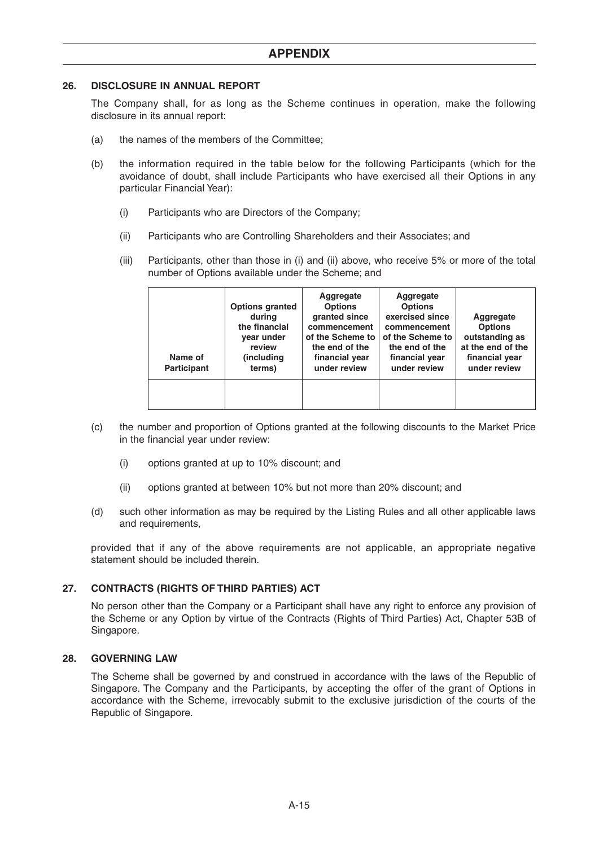## **26. DISCLOSURE IN ANNUAL REPORT**

The Company shall, for as long as the Scheme continues in operation, make the following disclosure in its annual report:

- (a) the names of the members of the Committee;
- (b) the information required in the table below for the following Participants (which for the avoidance of doubt, shall include Participants who have exercised all their Options in any particular Financial Year):
	- (i) Participants who are Directors of the Company;
	- (ii) Participants who are Controlling Shareholders and their Associates; and
	- (iii) Participants, other than those in (i) and (ii) above, who receive 5% or more of the total number of Options available under the Scheme; and

| Name of<br><b>Participant</b> | <b>Options granted</b><br>during<br>the financial<br>year under<br>review<br>(including<br>terms) | Aggregate<br><b>Options</b><br>granted since<br>commencement<br>of the Scheme to<br>the end of the<br>financial year<br>under review | Aggregate<br><b>Options</b><br>exercised since<br>commencement<br>of the Scheme to<br>the end of the<br>financial year<br>under review | Aggregate<br><b>Options</b><br>outstanding as<br>at the end of the<br>financial year<br>under review |
|-------------------------------|---------------------------------------------------------------------------------------------------|--------------------------------------------------------------------------------------------------------------------------------------|----------------------------------------------------------------------------------------------------------------------------------------|------------------------------------------------------------------------------------------------------|
|                               |                                                                                                   |                                                                                                                                      |                                                                                                                                        |                                                                                                      |

- (c) the number and proportion of Options granted at the following discounts to the Market Price in the financial year under review:
	- (i) options granted at up to 10% discount; and
	- (ii) options granted at between 10% but not more than 20% discount; and
- (d) such other information as may be required by the Listing Rules and all other applicable laws and requirements,

provided that if any of the above requirements are not applicable, an appropriate negative statement should be included therein

## **27. CONTRACTS (RIGHTS OF THIRD PARTIES) ACT**

No person other than the Company or a Participant shall have any right to enforce any provision of the Scheme or any Option by virtue of the Contracts (Rights of Third Parties) Act, Chapter 53B of Singapore.

## **28. GOVERNING LAW**

The Scheme shall be governed by and construed in accordance with the laws of the Republic of Singapore. The Company and the Participants, by accepting the offer of the grant of Options in accordance with the Scheme, irrevocably submit to the exclusive jurisdiction of the courts of the Republic of Singapore.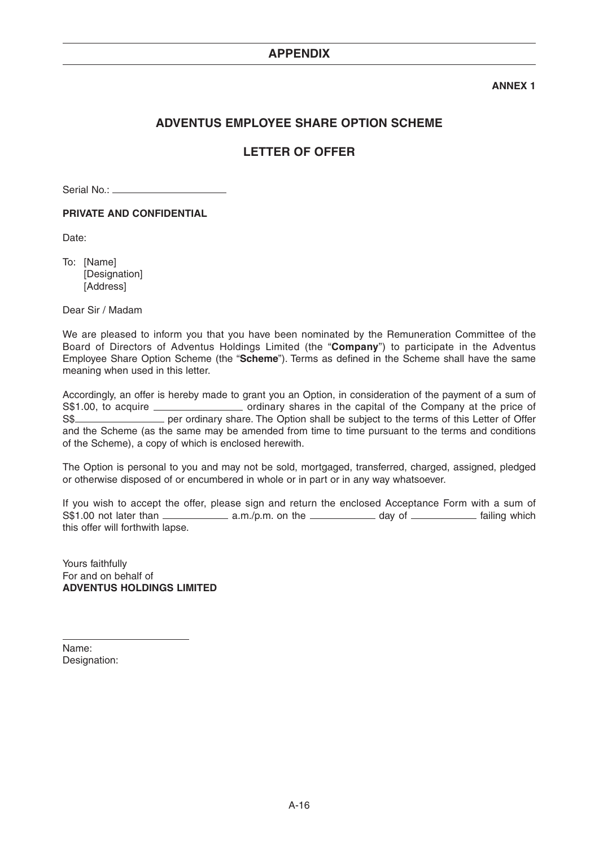## **ANNEX 1**

## **ADVENTUS EMPLOYEE SHARE OPTION SCHEME**

# **LETTER OF OFFER**

Serial No.:

**PRIVATE AND CONFIDENTIAL**

Date:

To: [Name] [Designation] [Address]

Dear Sir / Madam

We are pleased to inform you that you have been nominated by the Remuneration Committee of the Board of Directors of Adventus Holdings Limited (the "**Company**") to participate in the Adventus Employee Share Option Scheme (the "**Scheme**"). Terms as defined in the Scheme shall have the same meaning when used in this letter.

Accordingly, an offer is hereby made to grant you an Option, in consideration of the payment of a sum of S\$1.00, to acquire \_\_\_\_\_\_\_\_\_\_\_\_\_\_\_\_\_\_\_\_ ordinary shares in the capital of the Company at the price of S\$ and the Scheme (as the same may be amended from time to time pursuant to the terms and conditions of the Scheme), a copy of which is enclosed herewith.

The Option is personal to you and may not be sold, mortgaged, transferred, charged, assigned, pledged or otherwise disposed of or encumbered in whole or in part or in any way whatsoever.

If you wish to accept the offer, please sign and return the enclosed Acceptance Form with a sum of  $S$1.00$  not later than  $\frac{1}{\text{max}}$  a.m./p.m. on the  $\frac{1}{\text{max}}$  day of  $\frac{1}{\text{max}}$  failing which this offer will forthwith lapse.

Yours faithfully For and on behalf of **ADVENTUS HOLDINGS LIMITED**

Name: Designation: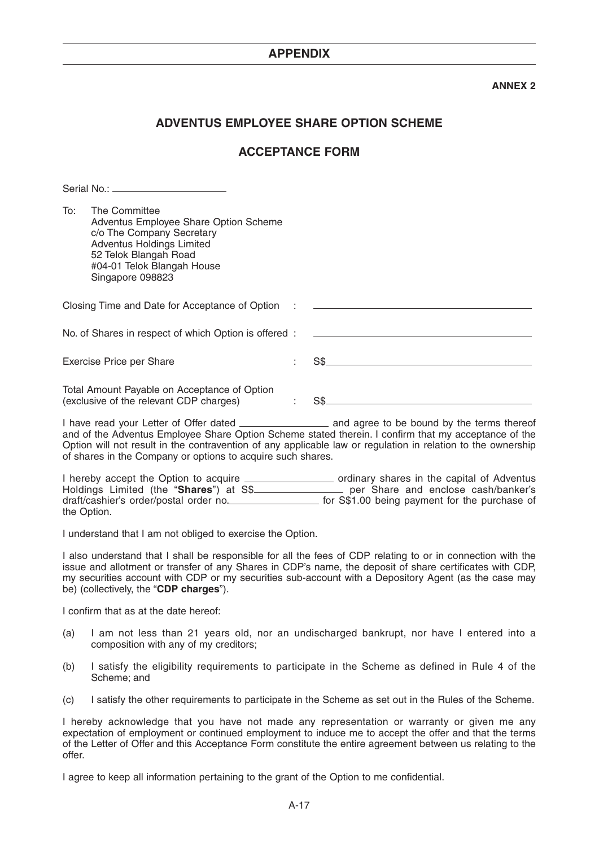## **ANNEX 2**

## **ADVENTUS EMPLOYEE SHARE OPTION SCHEME**

## **ACCEPTANCE FORM**

|     | <u>JUID 190 _______________________</u>                                                                                                                                                            |    |
|-----|----------------------------------------------------------------------------------------------------------------------------------------------------------------------------------------------------|----|
| To: | The Committee<br>Adventus Employee Share Option Scheme<br>c/o The Company Secretary<br><b>Adventus Holdings Limited</b><br>52 Telok Blangah Road<br>#04-01 Telok Blangah House<br>Singapore 098823 |    |
|     | Closing Time and Date for Acceptance of Option :                                                                                                                                                   |    |
|     | No. of Shares in respect of which Option is offered:                                                                                                                                               |    |
|     | Exercise Price per Share                                                                                                                                                                           | SS |
|     | Total Amount Payable on Acceptance of Option<br>(exclusive of the relevant CDP charges)                                                                                                            |    |

I have read your Letter of Offer dated \_\_\_\_\_\_\_\_\_\_\_\_\_\_\_\_\_\_\_\_\_ and agree to be bound by the terms thereof and of the Adventus Employee Share Option Scheme stated therein. I confirm that my acceptance of the Option will not result in the contravention of any applicable law or regulation in relation to the ownership of shares in the Company or options to acquire such shares.

I hereby accept the Option to acquire **correlate acception containery** ordinary shares in the capital of Adventus Holdings Limited (the "**Shares**") at S\$ per Share and enclose cash/banker's draft/cashier's order/postal order no. \_\_\_\_\_\_\_\_\_\_\_\_\_\_\_\_\_ for S\$1.00 being payment for the purchase of the Option.

I understand that I am not obliged to exercise the Option.

I also understand that I shall be responsible for all the fees of CDP relating to or in connection with the issue and allotment or transfer of any Shares in CDP's name, the deposit of share certificates with CDP, my securities account with CDP or my securities sub-account with a Depository Agent (as the case may be) (collectively, the "**CDP charges**").

I confirm that as at the date hereof:

Serial No.:

- (a) I am not less than 21 years old, nor an undischarged bankrupt, nor have I entered into a composition with any of my creditors;
- (b) I satisfy the eligibility requirements to participate in the Scheme as defined in Rule 4 of the Scheme; and
- (c) I satisfy the other requirements to participate in the Scheme as set out in the Rules of the Scheme.

I hereby acknowledge that you have not made any representation or warranty or given me any expectation of employment or continued employment to induce me to accept the offer and that the terms of the Letter of Offer and this Acceptance Form constitute the entire agreement between us relating to the offer.

I agree to keep all information pertaining to the grant of the Option to me confidential.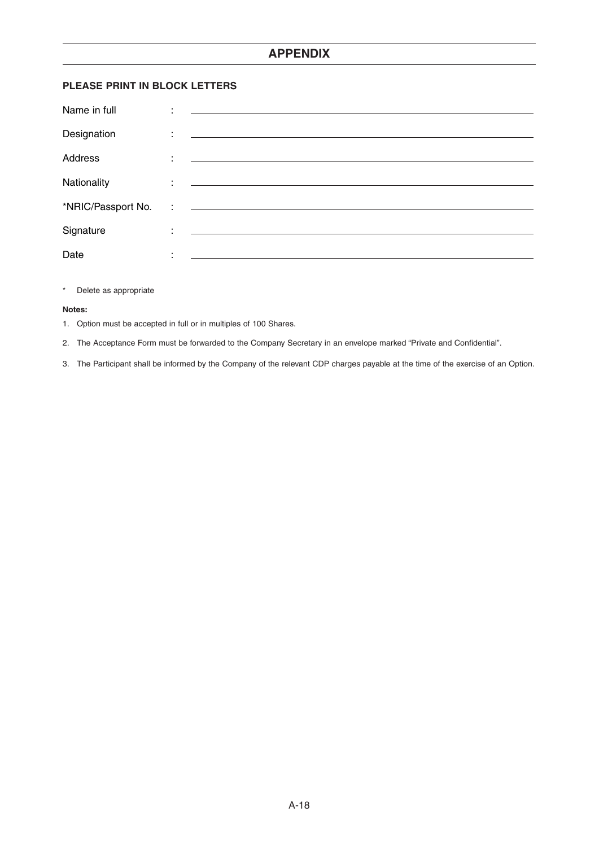## **PLEASE PRINT IN BLOCK LETTERS**

| Name in full       | ٠ | <u> 1980 - Antonio Alemania, politikar esperantor estatuba estatuba estatuba estatuba estatuba estatuba estatuba</u>  |
|--------------------|---|-----------------------------------------------------------------------------------------------------------------------|
| Designation        | ÷ |                                                                                                                       |
| <b>Address</b>     | ÷ | <u> 1989 - Jan Sterlinger, skriuwer fan it ferstjer fan it ferstjer fan it ferstjer fan it ferstjer fan it ferstj</u> |
| Nationality        |   | <u> 1999 - Jan Alexandri, martin amerikan basar perangan pada 1990 - Para Serika Barat Barat Barat Barat Barat B</u>  |
| *NRIC/Passport No. |   | <u> 1990 - Andrea Andrew Maria (h. 1980).</u>                                                                         |
| Signature          | ÷ | the contract of the contract of the contract of the contract of the contract of                                       |
| Date               | ٠ |                                                                                                                       |

#### \* Delete as appropriate

#### **Notes:**

1. Option must be accepted in full or in multiples of 100 Shares.

2. The Acceptance Form must be forwarded to the Company Secretary in an envelope marked "Private and Confidential".

3. The Participant shall be informed by the Company of the relevant CDP charges payable at the time of the exercise of an Option.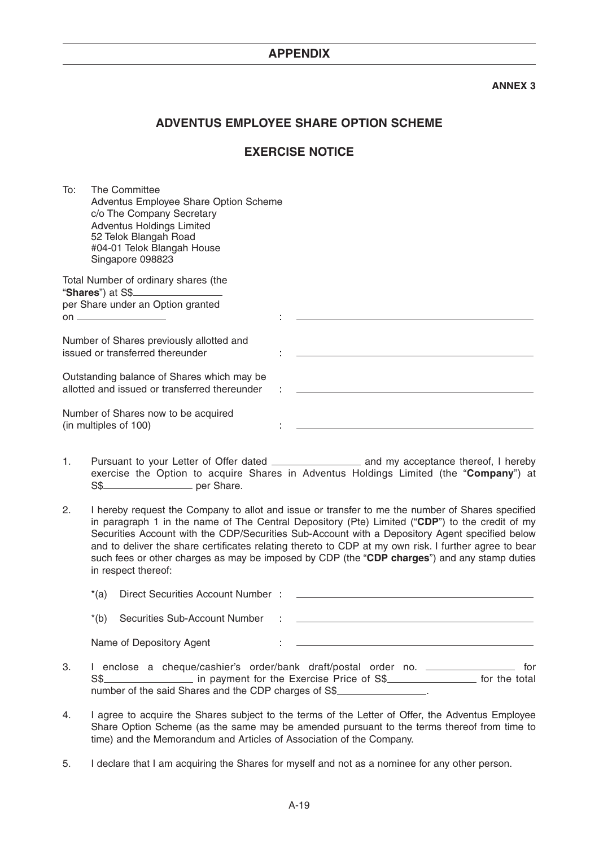## **ANNEX 3**

## **ADVENTUS EMPLOYEE SHARE OPTION SCHEME**

## **EXERCISE NOTICE**

To: The Committee Adventus Employee Share Option Scheme c/o The Company Secretary Adventus Holdings Limited 52 Telok Blangah Road #04-01 Telok Blangah House Singapore 098823 Total Number of ordinary shares (the

- 1. Pursuant to your Letter of Offer dated \_\_\_\_\_\_\_\_\_\_\_\_\_\_\_\_\_ and my acceptance thereof, I hereby exercise the Option to acquire Shares in Adventus Holdings Limited (the "**Company**") at S\$
- 2. I hereby request the Company to allot and issue or transfer to me the number of Shares specified in paragraph 1 in the name of The Central Depository (Pte) Limited ("**CDP**") to the credit of my Securities Account with the CDP/Securities Sub-Account with a Depository Agent specified below and to deliver the share certificates relating thereto to CDP at my own risk. I further agree to bear such fees or other charges as may be imposed by CDP (the "**CDP charges**") and any stamp duties in respect thereof:

| *(a)   | Direct Securities Account Number: |   |  |
|--------|-----------------------------------|---|--|
| $*(b)$ | Securities Sub-Account Number     | ÷ |  |
|        | Name of Depository Agent          |   |  |

- 3. I enclose a cheque/cashier's order/bank draft/postal order no. \_\_\_\_\_\_\_\_\_\_\_\_\_\_\_ for S\$ number of the said Shares and the CDP charges of S\$
- 4. I agree to acquire the Shares subject to the terms of the Letter of Offer, the Adventus Employee Share Option Scheme (as the same may be amended pursuant to the terms thereof from time to time) and the Memorandum and Articles of Association of the Company.
- 5. I declare that I am acquiring the Shares for myself and not as a nominee for any other person.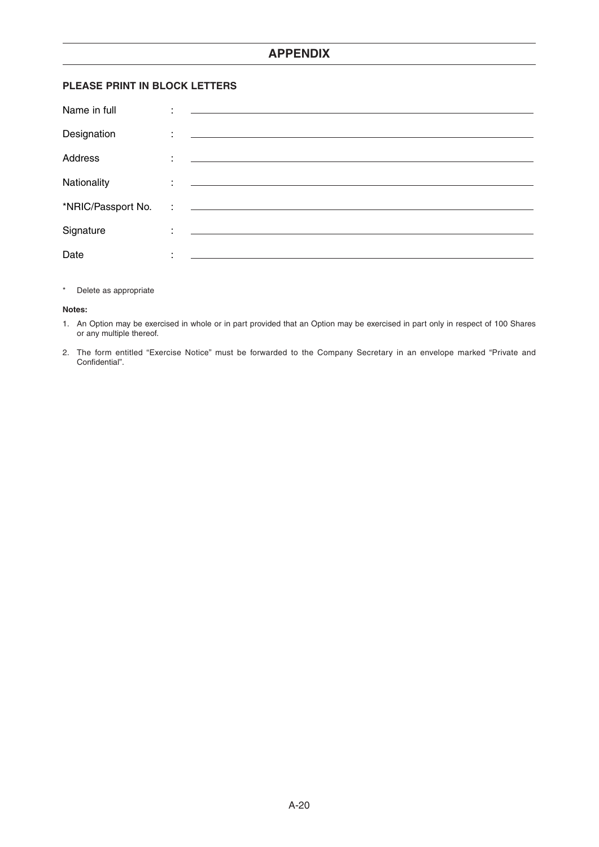## **PLEASE PRINT IN BLOCK LETTERS**

| Name in full       | ٠ | <u> 1989 - Andrea Station, amerikansk politik (d. 1989)</u>                                                                                                                                                                                                                                                                                                                                                            |
|--------------------|---|------------------------------------------------------------------------------------------------------------------------------------------------------------------------------------------------------------------------------------------------------------------------------------------------------------------------------------------------------------------------------------------------------------------------|
| Designation        | ÷ | <u> 1980 - Antonio Alemania, prima postala de la contrada de la contrada de la contrada de la contrada de la con</u>                                                                                                                                                                                                                                                                                                   |
| Address            | ÷ | <u> 1980 - Andrea Andrew Maria (h. 1980).</u>                                                                                                                                                                                                                                                                                                                                                                          |
| Nationality        |   | <u> 1990 - Jan Alexandria (h. 1889).</u><br>1900 - Johann Alexandria, frantziar martxar (h. 1892).                                                                                                                                                                                                                                                                                                                     |
| *NRIC/Passport No. |   | $\mathbf{r} = \frac{1}{2} \left[ \begin{array}{ccc} 1 & 0 & 0 \\ 0 & 1 & 0 \\ 0 & 0 & 0 \end{array} \right] \hspace{0.1in} \mathbf{r} = \frac{1}{2} \left[ \begin{array}{ccc} 1 & 0 & 0 \\ 0 & 1 & 0 \\ 0 & 0 & 0 \end{array} \right] \hspace{0.1in} \mathbf{r} = \frac{1}{2} \left[ \begin{array}{ccc} 1 & 0 & 0 \\ 0 & 1 & 0 \\ 0 & 0 & 0 \end{array} \right] \hspace{0.1in} \mathbf{r} = \frac{1}{2} \left[ \begin$ |
| Signature          | ٠ | <u> 1989 - Johann Harry Harry Harry Harry Harry Harry Harry Harry Harry Harry Harry Harry Harry Harry Harry Harry</u>                                                                                                                                                                                                                                                                                                  |
| Date               | ٠ |                                                                                                                                                                                                                                                                                                                                                                                                                        |

## \* Delete as appropriate

#### **Notes:**

- 1. An Option may be exercised in whole or in part provided that an Option may be exercised in part only in respect of 100 Shares or any multiple thereof.
- 2. The form entitled "Exercise Notice" must be forwarded to the Company Secretary in an envelope marked "Private and Confidential".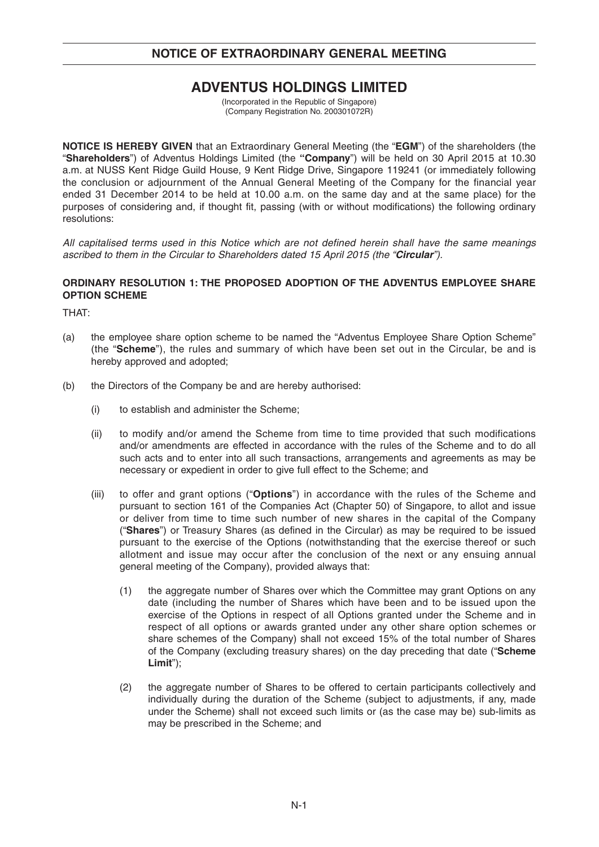# **NOTICE OF EXTRAORDINARY GENERAL MEETING**

# **ADVENTUS HOLDINGS LIMITED**

(Incorporated in the Republic of Singapore) (Company Registration No. 200301072R)

**NOTICE IS HEREBY GIVEN** that an Extraordinary General Meeting (the "**EGM**") of the shareholders (the "**Shareholders**") of Adventus Holdings Limited (the **"Company**") will be held on 30 April 2015 at 10.30 a.m. at NUSS Kent Ridge Guild House, 9 Kent Ridge Drive, Singapore 119241 (or immediately following the conclusion or adjournment of the Annual General Meeting of the Company for the financial year ended 31 December 2014 to be held at 10.00 a.m. on the same day and at the same place) for the purposes of considering and, if thought fit, passing (with or without modifications) the following ordinary resolutions:

All capitalised terms used in this Notice which are not defined herein shall have the same meanings ascribed to them in the Circular to Shareholders dated 15 April 2015 (the "**Circular**").

## **ORDINARY RESOLUTION 1: THE PROPOSED ADOPTION OF THE ADVENTUS EMPLOYEE SHARE OPTION SCHEME**

THAT:

- (a) the employee share option scheme to be named the "Adventus Employee Share Option Scheme" (the "**Scheme**"), the rules and summary of which have been set out in the Circular, be and is hereby approved and adopted;
- (b) the Directors of the Company be and are hereby authorised:
	- (i) to establish and administer the Scheme;
	- (ii) to modify and/or amend the Scheme from time to time provided that such modifications and/or amendments are effected in accordance with the rules of the Scheme and to do all such acts and to enter into all such transactions, arrangements and agreements as may be necessary or expedient in order to give full effect to the Scheme; and
	- (iii) to offer and grant options ("**Options**") in accordance with the rules of the Scheme and pursuant to section 161 of the Companies Act (Chapter 50) of Singapore, to allot and issue or deliver from time to time such number of new shares in the capital of the Company ("**Shares**") or Treasury Shares (as defined in the Circular) as may be required to be issued pursuant to the exercise of the Options (notwithstanding that the exercise thereof or such allotment and issue may occur after the conclusion of the next or any ensuing annual general meeting of the Company), provided always that:
		- (1) the aggregate number of Shares over which the Committee may grant Options on any date (including the number of Shares which have been and to be issued upon the exercise of the Options in respect of all Options granted under the Scheme and in respect of all options or awards granted under any other share option schemes or share schemes of the Company) shall not exceed 15% of the total number of Shares of the Company (excluding treasury shares) on the day preceding that date ("**Scheme Limit**");
		- (2) the aggregate number of Shares to be offered to certain participants collectively and individually during the duration of the Scheme (subject to adjustments, if any, made under the Scheme) shall not exceed such limits or (as the case may be) sub-limits as may be prescribed in the Scheme; and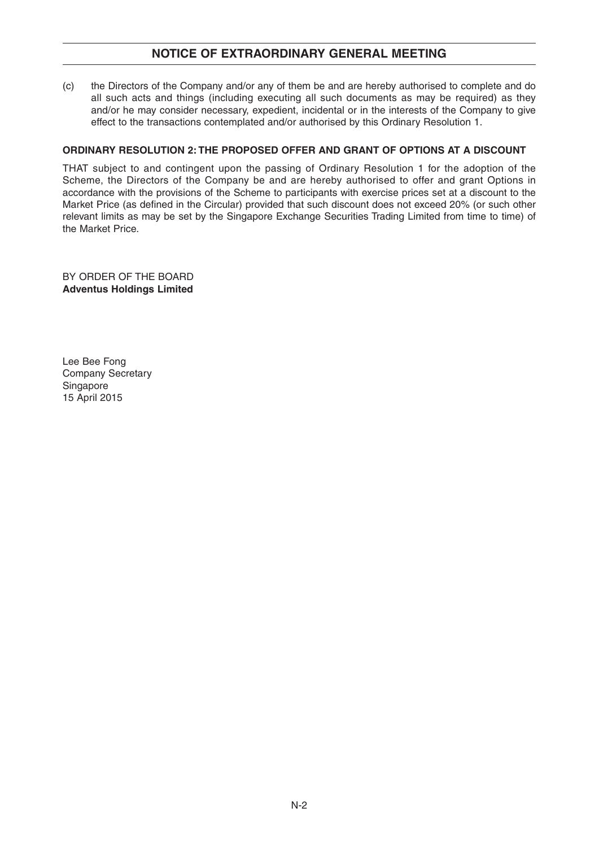## **NOTICE OF EXTRAORDINARY GENERAL MEETING**

(c) the Directors of the Company and/or any of them be and are hereby authorised to complete and do all such acts and things (including executing all such documents as may be required) as they and/or he may consider necessary, expedient, incidental or in the interests of the Company to give effect to the transactions contemplated and/or authorised by this Ordinary Resolution 1.

## **ORDINARY RESOLUTION 2: THE PROPOSED OFFER AND GRANT OF OPTIONS AT A DISCOUNT**

THAT subject to and contingent upon the passing of Ordinary Resolution 1 for the adoption of the Scheme, the Directors of the Company be and are hereby authorised to offer and grant Options in accordance with the provisions of the Scheme to participants with exercise prices set at a discount to the Market Price (as defined in the Circular) provided that such discount does not exceed 20% (or such other relevant limits as may be set by the Singapore Exchange Securities Trading Limited from time to time) of the Market Price.

BY ORDER OF THE BOARD **Adventus Holdings Limited**

Lee Bee Fong Company Secretary Singapore 15 April 2015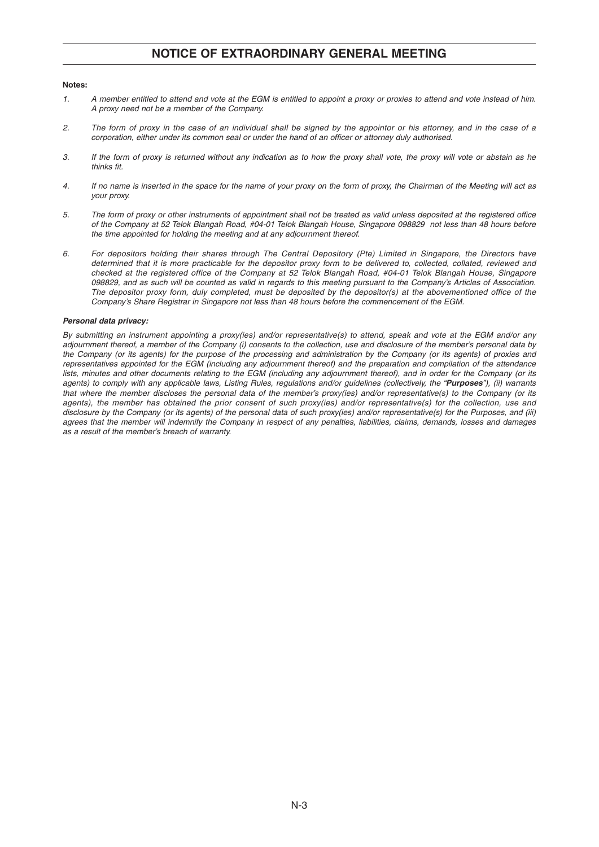## **NOTICE OF EXTRAORDINARY GENERAL MEETING**

#### **Notes:**

- 1. A member entitled to attend and vote at the EGM is entitled to appoint a proxy or proxies to attend and vote instead of him. A proxy need not be a member of the Company.
- 2. The form of proxy in the case of an individual shall be signed by the appointor or his attorney, and in the case of a corporation, either under its common seal or under the hand of an officer or attorney duly authorised.
- 3. If the form of proxy is returned without any indication as to how the proxy shall vote, the proxy will vote or abstain as he thinks fit.
- 4. If no name is inserted in the space for the name of your proxy on the form of proxy, the Chairman of the Meeting will act as your proxy.
- 5. The form of proxy or other instruments of appointment shall not be treated as valid unless deposited at the registered office of the Company at 52 Telok Blangah Road, #04-01 Telok Blangah House, Singapore 098829 not less than 48 hours before the time appointed for holding the meeting and at any adjournment thereof.
- 6. For depositors holding their shares through The Central Depository (Pte) Limited in Singapore, the Directors have determined that it is more practicable for the depositor proxy form to be delivered to, collected, collated, reviewed and checked at the registered office of the Company at 52 Telok Blangah Road, #04-01 Telok Blangah House, Singapore 098829, and as such will be counted as valid in regards to this meeting pursuant to the Company's Articles of Association. The depositor proxy form, duly completed, must be deposited by the depositor(s) at the abovementioned office of the Company's Share Registrar in Singapore not less than 48 hours before the commencement of the EGM.

#### **Personal data privacy:**

By submitting an instrument appointing a proxy(ies) and/or representative(s) to attend, speak and vote at the EGM and/or any adjournment thereof, a member of the Company (i) consents to the collection, use and disclosure of the member's personal data by the Company (or its agents) for the purpose of the processing and administration by the Company (or its agents) of proxies and representatives appointed for the EGM (including any adjournment thereof) and the preparation and compilation of the attendance lists, minutes and other documents relating to the EGM (including any adjournment thereof), and in order for the Company (or its agents) to comply with any applicable laws, Listing Rules, regulations and/or guidelines (collectively, the "**Purposes**"), (ii) warrants that where the member discloses the personal data of the member's proxy(ies) and/or representative(s) to the Company (or its agents), the member has obtained the prior consent of such proxy(ies) and/or representative(s) for the collection, use and disclosure by the Company (or its agents) of the personal data of such proxy(ies) and/or representative(s) for the Purposes, and (iii) agrees that the member will indemnify the Company in respect of any penalties, liabilities, claims, demands, losses and damages as a result of the member's breach of warranty.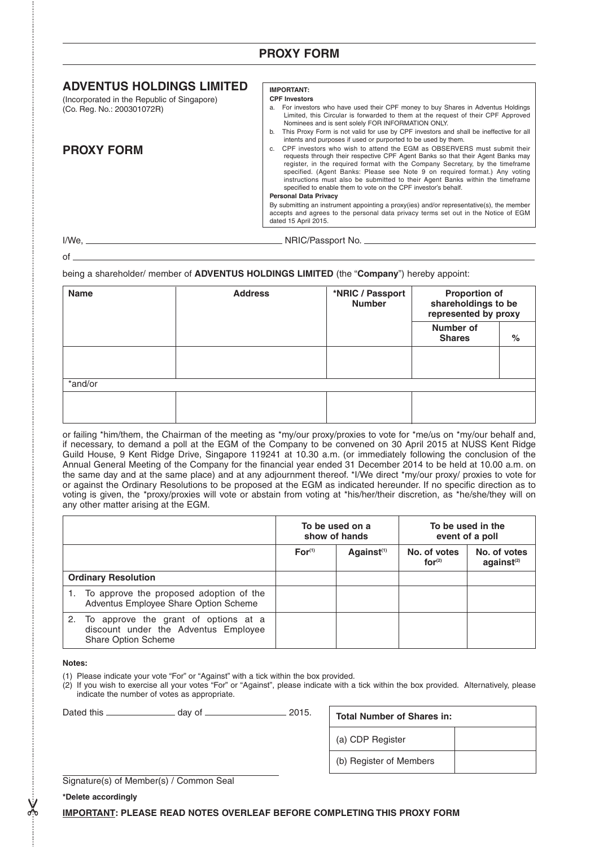## **PROXY FORM**

## **ADVENTUS HOLDINGS LIMITED**

(Incorporated in the Republic of Singapore) (Co. Reg. No.: 200301072R)

## **PROXY FORM**

#### **IMPORTANT: CPF Investors**

- a. For investors who have used their CPF money to buy Shares in Adventus Holdings Limited, this Circular is forwarded to them at the request of their CPF Approved Nominees and is sent solely FOR INFORMATION ONLY.
- b. This Proxy Form is not valid for use by CPF investors and shall be ineffective for all intents and purposes if used or purported to be used by them.

c. CPF investors who wish to attend the EGM as OBSERVERS must submit their requests through their respective CPF Agent Banks so that their Agent Banks may register, in the required format with the Company Secretary, by the timeframe specified. (Agent Banks: Please see Note 9 on required format.) Any voting instructions must also be submitted to their Agent Banks within the timeframe specified to enable them to vote on the CPF investor's behalf.

#### **Personal Data Privacy**

By submitting an instrument appointing a proxy(ies) and/or representative(s), the member accepts and agrees to the personal data privacy terms set out in the Notice of EGM dated 15 April 2015.

of

I/We, NRIC/Passport No.

being a shareholder/ member of **ADVENTUS HOLDINGS LIMITED** (the "**Company**") hereby appoint:

| <b>Name</b> | <b>Address</b> | *NRIC / Passport<br><b>Number</b> | <b>Proportion of</b><br>shareholdings to be<br>represented by proxy |      |
|-------------|----------------|-----------------------------------|---------------------------------------------------------------------|------|
|             |                |                                   | Number of<br><b>Shares</b>                                          | $\%$ |
|             |                |                                   |                                                                     |      |
| *and/or     |                |                                   |                                                                     |      |
|             |                |                                   |                                                                     |      |

or failing \*him/them, the Chairman of the meeting as \*my/our proxy/proxies to vote for \*me/us on \*my/our behalf and, if necessary, to demand a poll at the EGM of the Company to be convened on 30 April 2015 at NUSS Kent Ridge Guild House, 9 Kent Ridge Drive, Singapore 119241 at 10.30 a.m. (or immediately following the conclusion of the Annual General Meeting of the Company for the financial year ended 31 December 2014 to be held at 10.00 a.m. on the same day and at the same place) and at any adjournment thereof. \*I/We direct \*my/our proxy/ proxies to vote for or against the Ordinary Resolutions to be proposed at the EGM as indicated hereunder. If no specific direction as to voting is given, the \*proxy/proxies will vote or abstain from voting at \*his/her/their discretion, as \*he/she/they will on any other matter arising at the EGM.

|                            |                                                                                                        | To be used on a<br>show of hands |                        | To be used in the<br>event of a poll |                                  |
|----------------------------|--------------------------------------------------------------------------------------------------------|----------------------------------|------------------------|--------------------------------------|----------------------------------|
|                            |                                                                                                        | For <sup>(1)</sup>               | Against <sup>(1)</sup> | No. of votes<br>for <sup>(2)</sup>   | No. of votes<br>$a$ qainst $(2)$ |
| <b>Ordinary Resolution</b> |                                                                                                        |                                  |                        |                                      |                                  |
|                            | 1. To approve the proposed adoption of the<br>Adventus Employee Share Option Scheme                    |                                  |                        |                                      |                                  |
|                            | 2. To approve the grant of options at a<br>discount under the Adventus Employee<br>Share Option Scheme |                                  |                        |                                      |                                  |

#### **Notes:**

(1) Please indicate your vote "For" or "Against" with a tick within the box provided.

(2) If you wish to exercise all your votes "For" or "Against", please indicate with a tick within the box provided. Alternatively, please indicate the number of votes as appropriate.

| Dated this | dav of | 2015. |
|------------|--------|-------|
|------------|--------|-------|

| <b>Total Number of Shares in:</b> |  |  |  |  |
|-----------------------------------|--|--|--|--|
| (a) CDP Register                  |  |  |  |  |
| (b) Register of Members           |  |  |  |  |

Signature(s) of Member(s) / Common Seal

**\*Delete accordingly**

 $\chi$ 

**IMPORTANT: PLEASE READ NOTES OVERLEAF BEFORE COMPLETING THIS PROXY FORM**